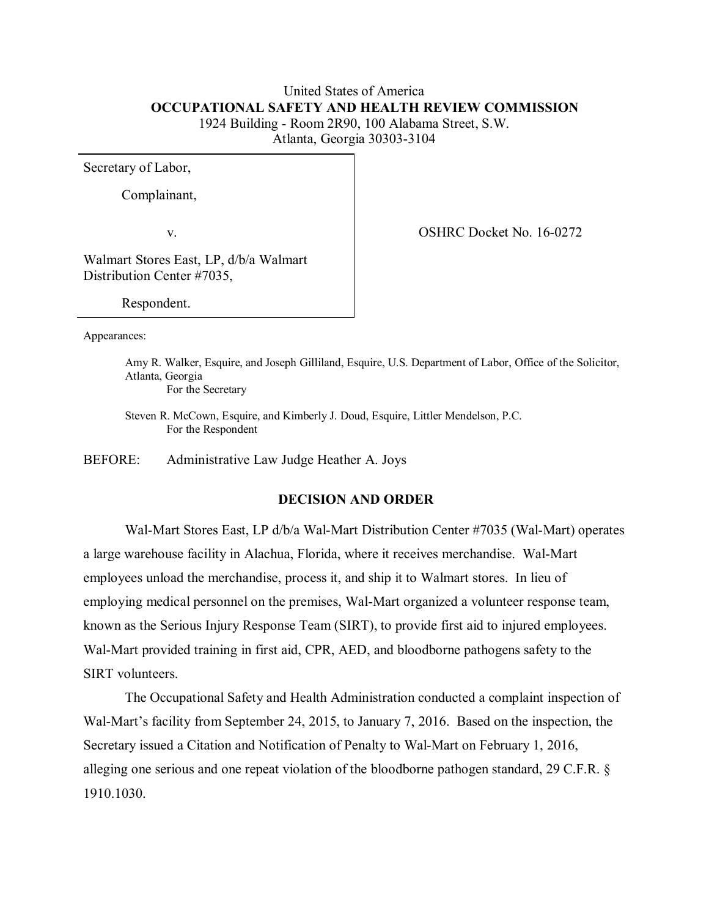# United States of America  **OCCUPATIONAL SAFETY AND HEALTH REVIEW COMMISSION** 1924 Building - Room 2R90, 100 Alabama Street, S.W. Atlanta, Georgia 30303-3104

Secretary of Labor,

Complainant,

v. Solution of the COSHRC Docket No. 16-0272

Walmart Stores East, LP, d/b/a Walmart Distribution Center #7035,

Respondent.

Appearances:

Amy R. Walker, Esquire, and Joseph Gilliland, Esquire, U.S. Department of Labor, Office of the Solicitor, Atlanta, Georgia

For the Secretary

Steven R. McCown, Esquire, and Kimberly J. Doud, Esquire, Littler Mendelson, P.C. For the Respondent

BEFORE: Administrative Law Judge Heather A. Joys

### **DECISION AND ORDER**

Wal-Mart Stores East, LP d/b/a Wal-Mart Distribution Center #7035 (Wal-Mart) operates a large warehouse facility in Alachua, Florida, where it receives merchandise. Wal-Mart employees unload the merchandise, process it, and ship it to Walmart stores. In lieu of employing medical personnel on the premises, Wal-Mart organized a volunteer response team, known as the Serious Injury Response Team (SIRT), to provide first aid to injured employees. Wal-Mart provided training in first aid, CPR, AED, and bloodborne pathogens safety to the SIRT volunteers.

The Occupational Safety and Health Administration conducted a complaint inspection of Wal-Mart's facility from September 24, 2015, to January 7, 2016. Based on the inspection, the Secretary issued a Citation and Notification of Penalty to Wal-Mart on February 1, 2016, alleging one serious and one repeat violation of the bloodborne pathogen standard, 29 C.F.R. § 1910.1030.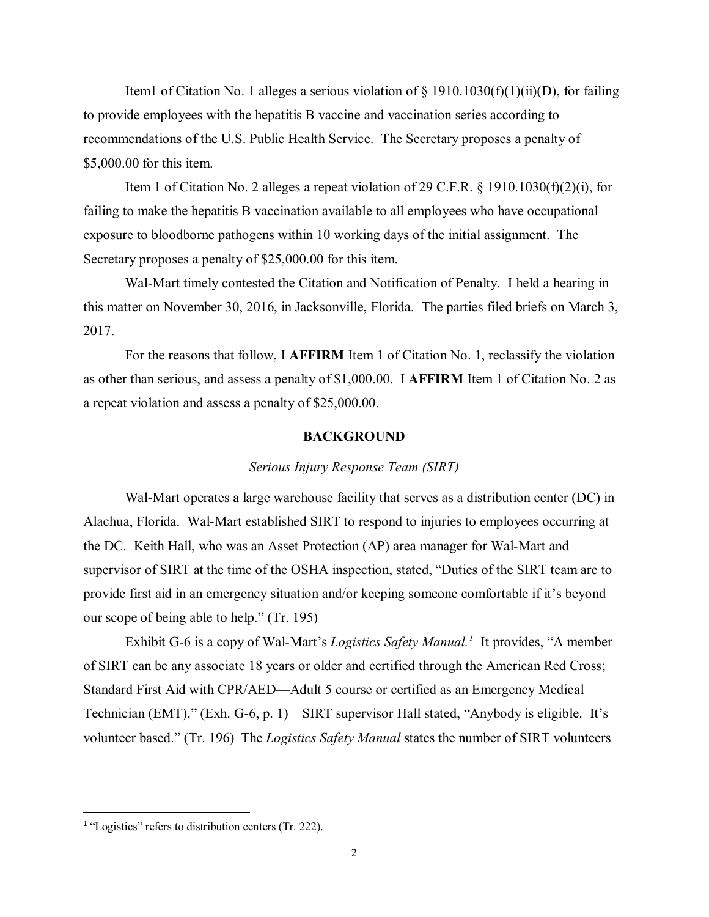Item1 of Citation No. 1 alleges a serious violation of  $\S$  1910.1030(f)(1)(ii)(D), for failing to provide employees with the hepatitis B vaccine and vaccination series according to recommendations of the U.S. Public Health Service. The Secretary proposes a penalty of \$5,000.00 for this item.

Item 1 of Citation No. 2 alleges a repeat violation of 29 C.F.R.  $\S$  1910.1030(f)(2)(i), for failing to make the hepatitis B vaccination available to all employees who have occupational exposure to bloodborne pathogens within 10 working days of the initial assignment. The Secretary proposes a penalty of \$25,000.00 for this item.

Wal-Mart timely contested the Citation and Notification of Penalty. I held a hearing in this matter on November 30, 2016, in Jacksonville, Florida. The parties filed briefs on March 3, 2017.

For the reasons that follow, I **AFFIRM** Item 1 of Citation No. 1, reclassify the violation as other than serious, and assess a penalty of \$1,000.00. I **AFFIRM** Item 1 of Citation No. 2 as a repeat violation and assess a penalty of \$25,000.00.

#### **BACKGROUND**

#### *Serious Injury Response Team (SIRT)*

Wal-Mart operates a large warehouse facility that serves as a distribution center (DC) in Alachua, Florida. Wal-Mart established SIRT to respond to injuries to employees occurring at the DC. Keith Hall, who was an Asset Protection (AP) area manager for Wal-Mart and supervisor of SIRT at the time of the OSHA inspection, stated, "Duties of the SIRT team are to provide first aid in an emergency situation and/or keeping someone comfortable if it's beyond our scope of being able to help." (Tr. 195)

Exhibit G-6 is a copy of Wal-Mart's *Logistics Safety Manual.[1](#page-1-0)* It provides, "A member of SIRT can be any associate 18 years or older and certified through the American Red Cross; Standard First Aid with CPR/AED—Adult 5 course or certified as an Emergency Medical Technician (EMT)." (Exh. G-6, p. 1) SIRT supervisor Hall stated, "Anybody is eligible. It's volunteer based." (Tr. 196) The *Logistics Safety Manual* states the number of SIRT volunteers

 $\overline{\phantom{a}}$ 

<span id="page-1-0"></span><sup>&</sup>lt;sup>1</sup> "Logistics" refers to distribution centers (Tr. 222).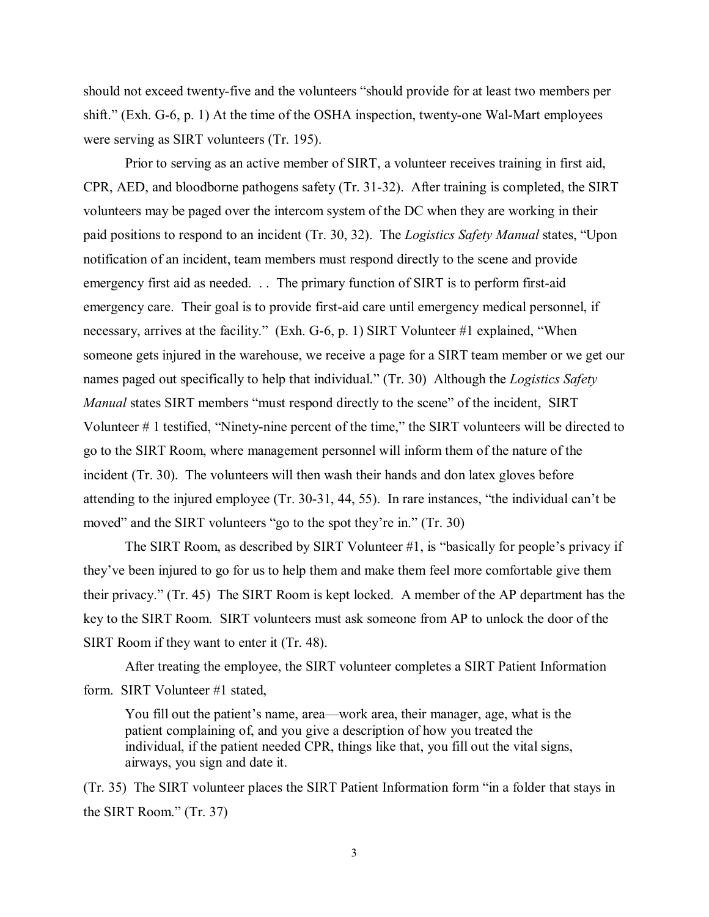should not exceed twenty-five and the volunteers "should provide for at least two members per shift." (Exh. G-6, p. 1) At the time of the OSHA inspection, twenty-one Wal-Mart employees were serving as SIRT volunteers (Tr. 195).

Prior to serving as an active member of SIRT, a volunteer receives training in first aid, CPR, AED, and bloodborne pathogens safety (Tr. 31-32). After training is completed, the SIRT volunteers may be paged over the intercom system of the DC when they are working in their paid positions to respond to an incident (Tr. 30, 32). The *Logistics Safety Manual* states, "Upon notification of an incident, team members must respond directly to the scene and provide emergency first aid as needed. . . The primary function of SIRT is to perform first-aid emergency care. Their goal is to provide first-aid care until emergency medical personnel, if necessary, arrives at the facility." (Exh. G-6, p. 1) SIRT Volunteer #1 explained, "When someone gets injured in the warehouse, we receive a page for a SIRT team member or we get our names paged out specifically to help that individual." (Tr. 30) Although the *Logistics Safety Manual* states SIRT members "must respond directly to the scene" of the incident, SIRT Volunteer # 1 testified, "Ninety-nine percent of the time," the SIRT volunteers will be directed to go to the SIRT Room, where management personnel will inform them of the nature of the incident (Tr. 30). The volunteers will then wash their hands and don latex gloves before attending to the injured employee (Tr. 30-31, 44, 55). In rare instances, "the individual can't be moved" and the SIRT volunteers "go to the spot they're in." (Tr. 30)

The SIRT Room, as described by SIRT Volunteer #1, is "basically for people's privacy if they've been injured to go for us to help them and make them feel more comfortable give them their privacy." (Tr. 45) The SIRT Room is kept locked. A member of the AP department has the key to the SIRT Room. SIRT volunteers must ask someone from AP to unlock the door of the SIRT Room if they want to enter it (Tr. 48).

After treating the employee, the SIRT volunteer completes a SIRT Patient Information form. SIRT Volunteer #1 stated,

You fill out the patient's name, area—work area, their manager, age, what is the patient complaining of, and you give a description of how you treated the individual, if the patient needed CPR, things like that, you fill out the vital signs, airways, you sign and date it.

(Tr. 35) The SIRT volunteer places the SIRT Patient Information form "in a folder that stays in the SIRT Room." (Tr. 37)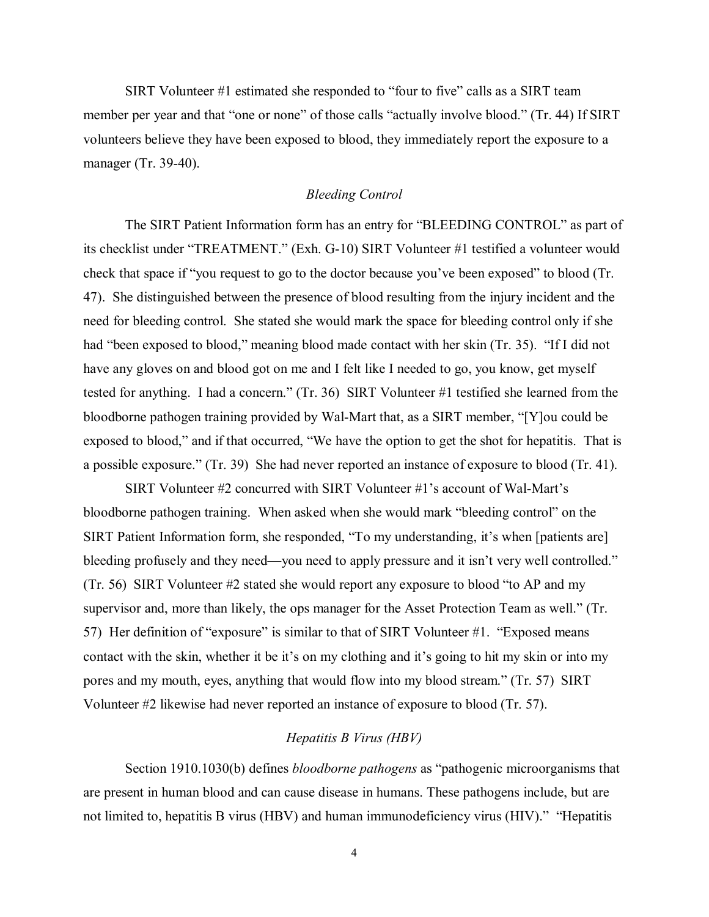SIRT Volunteer #1 estimated she responded to "four to five" calls as a SIRT team member per year and that "one or none" of those calls "actually involve blood." (Tr. 44) If SIRT volunteers believe they have been exposed to blood, they immediately report the exposure to a manager (Tr. 39-40).

## *Bleeding Control*

The SIRT Patient Information form has an entry for "BLEEDING CONTROL" as part of its checklist under "TREATMENT." (Exh. G-10) SIRT Volunteer #1 testified a volunteer would check that space if "you request to go to the doctor because you've been exposed" to blood (Tr. 47). She distinguished between the presence of blood resulting from the injury incident and the need for bleeding control. She stated she would mark the space for bleeding control only if she had "been exposed to blood," meaning blood made contact with her skin (Tr. 35). "If I did not have any gloves on and blood got on me and I felt like I needed to go, you know, get myself tested for anything. I had a concern." (Tr. 36) SIRT Volunteer #1 testified she learned from the bloodborne pathogen training provided by Wal-Mart that, as a SIRT member, "[Y]ou could be exposed to blood," and if that occurred, "We have the option to get the shot for hepatitis. That is a possible exposure." (Tr. 39) She had never reported an instance of exposure to blood (Tr. 41).

SIRT Volunteer #2 concurred with SIRT Volunteer #1's account of Wal-Mart's bloodborne pathogen training. When asked when she would mark "bleeding control" on the SIRT Patient Information form, she responded, "To my understanding, it's when [patients are] bleeding profusely and they need—you need to apply pressure and it isn't very well controlled." (Tr. 56) SIRT Volunteer #2 stated she would report any exposure to blood "to AP and my supervisor and, more than likely, the ops manager for the Asset Protection Team as well." (Tr. 57) Her definition of "exposure" is similar to that of SIRT Volunteer #1. "Exposed means contact with the skin, whether it be it's on my clothing and it's going to hit my skin or into my pores and my mouth, eyes, anything that would flow into my blood stream." (Tr. 57) SIRT Volunteer #2 likewise had never reported an instance of exposure to blood (Tr. 57).

## *Hepatitis B Virus (HBV)*

Section 1910.1030(b) defines *bloodborne pathogens* as "pathogenic microorganisms that are present in human blood and can cause disease in humans. These pathogens include, but are not limited to, hepatitis B virus (HBV) and human immunodeficiency virus (HIV)." "Hepatitis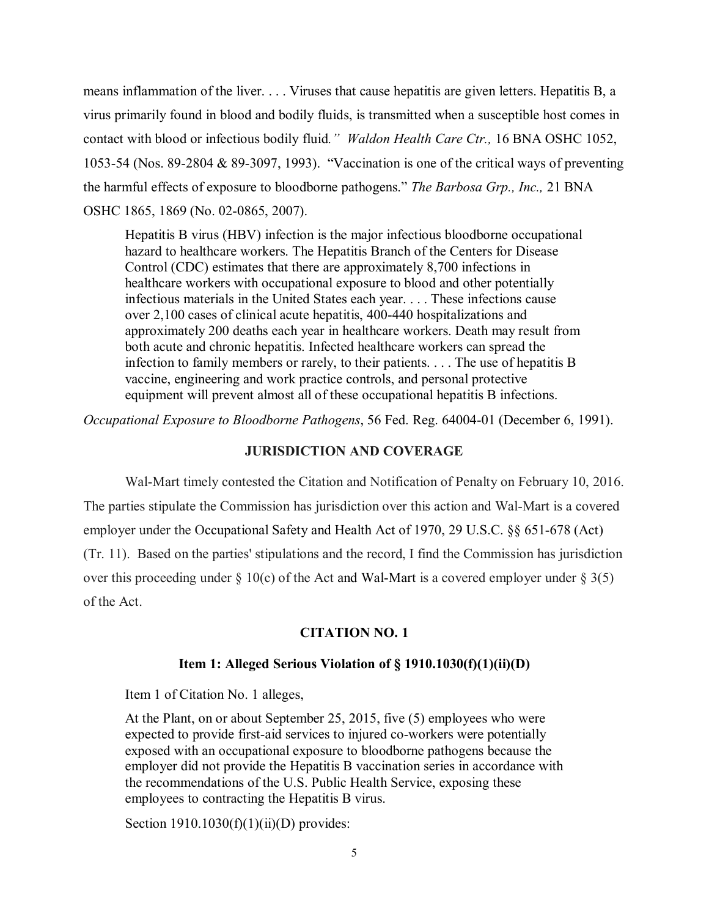means inflammation of the liver. . . . Viruses that cause hepatitis are given letters. Hepatitis B, a virus primarily found in blood and bodily fluids, is transmitted when a susceptible host comes in contact with blood or infectious bodily fluid*." Waldon Health Care Ctr.,* 16 BNA OSHC 1052, 1053-54 (Nos. 89-2804 & 89-3097, 1993). "Vaccination is one of the critical ways of preventing the harmful effects of exposure to bloodborne pathogens." *The Barbosa Grp., Inc.,* 21 BNA OSHC 1865, 1869 (No. 02-0865, 2007).

Hepatitis B virus (HBV) infection is the major infectious bloodborne occupational hazard to healthcare workers. The Hepatitis Branch of the Centers for Disease Control (CDC) estimates that there are approximately 8,700 infections in healthcare workers with occupational exposure to blood and other potentially infectious materials in the United States each year. . . . These infections cause over 2,100 cases of clinical acute hepatitis, 400-440 hospitalizations and approximately 200 deaths each year in healthcare workers. Death may result from both acute and chronic hepatitis. Infected healthcare workers can spread the infection to family members or rarely, to their patients. . . . The use of hepatitis B vaccine, engineering and work practice controls, and personal protective equipment will prevent almost all of these occupational hepatitis B infections.

*Occupational Exposure to Bloodborne Pathogens*, 56 Fed. Reg. 64004-01 (December 6, 1991).

## **JURISDICTION AND COVERAGE**

 Wal-Mart timely contested the Citation and Notification of Penalty on February 10, 2016. The parties stipulate the Commission has jurisdiction over this action and Wal-Mart is a covered employer under the Occupational Safety and Health Act of 1970, 29 U.S.C. §§ 651-678 (Act) (Tr. 11). Based on the parties' stipulations and the record, I find the Commission has jurisdiction over this proceeding under  $\S 10(c)$  of the Act and Wal-Mart is a covered employer under  $\S 3(5)$ of the Act.

## **CITATION NO. 1**

## **Item 1: Alleged Serious Violation of § 1910.1030(f)(1)(ii)(D)**

Item 1 of Citation No. 1 alleges,

At the Plant, on or about September 25, 2015, five (5) employees who were expected to provide first-aid services to injured co-workers were potentially exposed with an occupational exposure to bloodborne pathogens because the employer did not provide the Hepatitis B vaccination series in accordance with the recommendations of the U.S. Public Health Service, exposing these employees to contracting the Hepatitis B virus.

Section  $1910.1030(f)(1)(ii)(D)$  provides: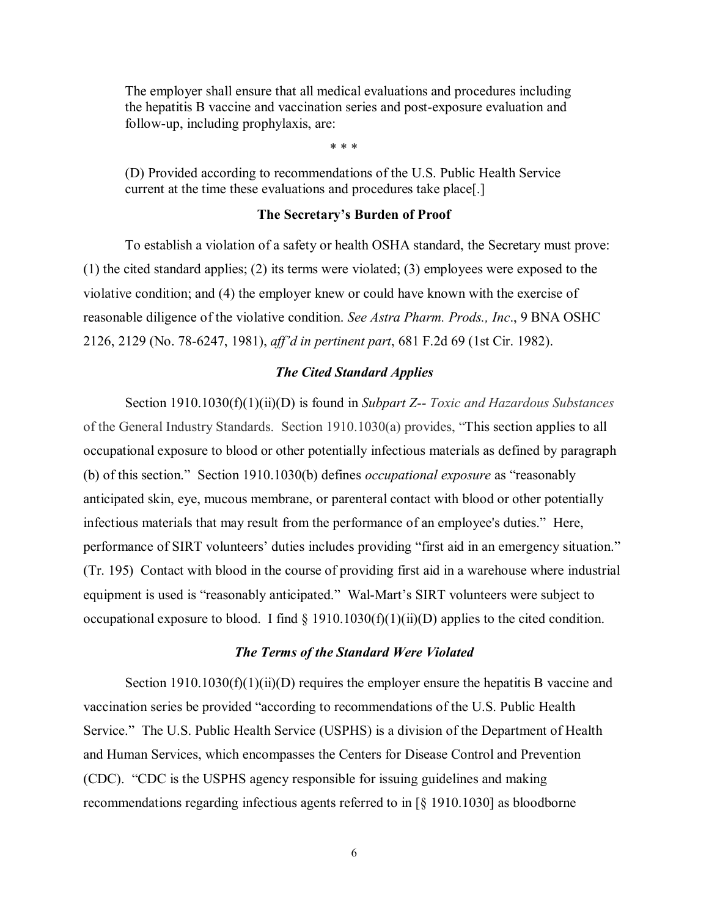The employer shall ensure that all medical evaluations and procedures including the hepatitis B vaccine and vaccination series and post-exposure evaluation and follow-up, including prophylaxis, are:

\* \* \*

(D) Provided according to recommendations of the U.S. Public Health Service current at the time these evaluations and procedures take place[.]

### **The Secretary's Burden of Proof**

To establish a violation of a safety or health OSHA standard, the Secretary must prove: (1) the cited standard applies; (2) its terms were violated; (3) employees were exposed to the violative condition; and (4) the employer knew or could have known with the exercise of reasonable diligence of the violative condition. *See Astra Pharm. Prods., Inc*., 9 BNA OSHC 2126, 2129 (No. 78-6247, 1981), *aff'd in pertinent part*, 681 F.2d 69 (1st Cir. 1982).

#### *The Cited Standard Applies*

Section 1910.1030(f)(1)(ii)(D) is found in *Subpart Z-- Toxic and Hazardous Substances* of the General Industry Standards. Section 1910.1030(a) provides, "This section applies to all occupational exposure to blood or other potentially infectious materials as defined by paragraph (b) of this section." Section 1910.1030(b) defines *occupational exposure* as "reasonably anticipated skin, eye, mucous membrane, or parenteral contact with blood or other potentially infectious materials that may result from the performance of an employee's duties." Here, performance of SIRT volunteers' duties includes providing "first aid in an emergency situation." (Tr. 195) Contact with blood in the course of providing first aid in a warehouse where industrial equipment is used is "reasonably anticipated." Wal-Mart's SIRT volunteers were subject to occupational exposure to blood. I find  $\S$  1910.1030(f)(1)(ii)(D) applies to the cited condition.

#### *The Terms of the Standard Were Violated*

Section  $1910.1030(f)(1)(ii)(D)$  requires the employer ensure the hepatitis B vaccine and vaccination series be provided "according to recommendations of the U.S. Public Health Service." The U.S. Public Health Service (USPHS) is a division of the Department of Health and Human Services, which encompasses the Centers for Disease Control and Prevention (CDC). "CDC is the USPHS agency responsible for issuing guidelines and making recommendations regarding infectious agents referred to in [§ 1910.1030] as bloodborne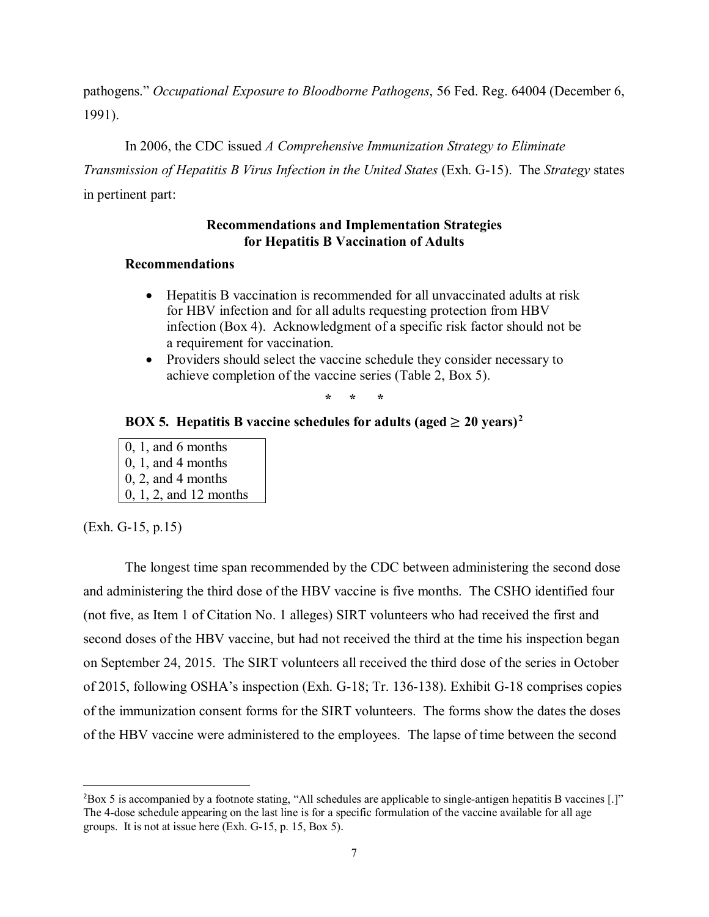pathogens." *Occupational Exposure to Bloodborne Pathogens*, 56 Fed. Reg. 64004 (December 6, 1991).

In 2006, the CDC issued *A Comprehensive Immunization Strategy to Eliminate Transmission of Hepatitis B Virus Infection in the United States* (Exh. G-15). The *Strategy* states

in pertinent part:

# **Recommendations and Implementation Strategies for Hepatitis B Vaccination of Adults**

# **Recommendations**

- Hepatitis B vaccination is recommended for all unvaccinated adults at risk for HBV infection and for all adults requesting protection from HBV infection (Box 4). Acknowledgment of a specific risk factor should not be a requirement for vaccination.
- Providers should select the vaccine schedule they consider necessary to achieve completion of the vaccine series (Table 2, Box 5).

**\* \* \*** 

# **BOX 5. Hepatitis B vaccine schedules for adults (aged**  $\geq 20$  $\geq 20$  $\geq 20$  **years)<sup>2</sup>**

0, 1, and 6 months 0, 1, and 4 months 0, 2, and 4 months 0, 1, 2, and 12 months

(Exh. G-15, p.15)

The longest time span recommended by the CDC between administering the second dose and administering the third dose of the HBV vaccine is five months. The CSHO identified four (not five, as Item 1 of Citation No. 1 alleges) SIRT volunteers who had received the first and second doses of the HBV vaccine, but had not received the third at the time his inspection began on September 24, 2015. The SIRT volunteers all received the third dose of the series in October of 2015, following OSHA's inspection (Exh. G-18; Tr. 136-138). Exhibit G-18 comprises copies of the immunization consent forms for the SIRT volunteers. The forms show the dates the doses of the HBV vaccine were administered to the employees. The lapse of time between the second

<span id="page-6-0"></span> $\overline{\phantom{a}}$  $2$ Box 5 is accompanied by a footnote stating, "All schedules are applicable to single-antigen hepatitis B vaccines [.]" The 4-dose schedule appearing on the last line is for a specific formulation of the vaccine available for all age groups. It is not at issue here (Exh. G-15, p. 15, Box 5).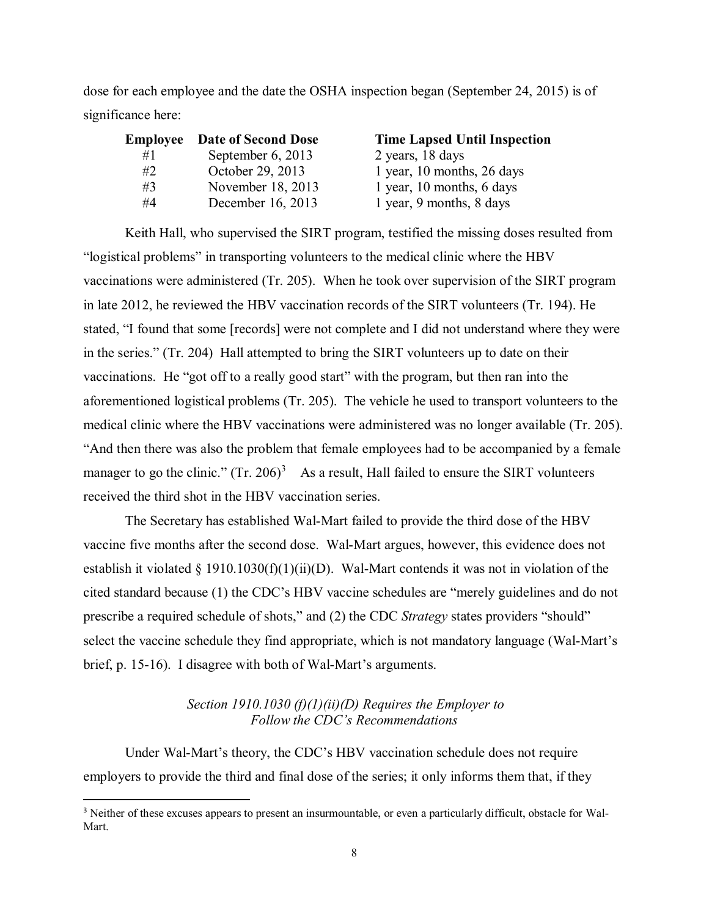dose for each employee and the date the OSHA inspection began (September 24, 2015) is of significance here:

|    | <b>Employee</b> Date of Second Dose | <b>Time Lapsed Until Inspection</b> |
|----|-------------------------------------|-------------------------------------|
| #1 | September 6, 2013                   | 2 years, 18 days                    |
| #2 | October 29, 2013                    | 1 year, 10 months, 26 days          |
| #3 | November 18, 2013                   | 1 year, 10 months, 6 days           |
| #4 | December 16, 2013                   | 1 year, 9 months, 8 days            |

Keith Hall, who supervised the SIRT program, testified the missing doses resulted from "logistical problems" in transporting volunteers to the medical clinic where the HBV vaccinations were administered (Tr. 205). When he took over supervision of the SIRT program in late 2012, he reviewed the HBV vaccination records of the SIRT volunteers (Tr. 194). He stated, "I found that some [records] were not complete and I did not understand where they were in the series." (Tr. 204) Hall attempted to bring the SIRT volunteers up to date on their vaccinations. He "got off to a really good start" with the program, but then ran into the aforementioned logistical problems (Tr. 205). The vehicle he used to transport volunteers to the medical clinic where the HBV vaccinations were administered was no longer available (Tr. 205). "And then there was also the problem that female employees had to be accompanied by a female manager to go the clinic."  $(Tr. 206)^3$  $(Tr. 206)^3$  As a result, Hall failed to ensure the SIRT volunteers received the third shot in the HBV vaccination series.

The Secretary has established Wal-Mart failed to provide the third dose of the HBV vaccine five months after the second dose. Wal-Mart argues, however, this evidence does not establish it violated  $\S$  1910.1030(f)(1)(ii)(D). Wal-Mart contends it was not in violation of the cited standard because (1) the CDC's HBV vaccine schedules are "merely guidelines and do not prescribe a required schedule of shots," and (2) the CDC *Strategy* states providers "should" select the vaccine schedule they find appropriate, which is not mandatory language (Wal-Mart's brief, p. 15-16). I disagree with both of Wal-Mart's arguments.

# *Section 1910.1030 (f)(1)(ii)(D) Requires the Employer to Follow the CDC's Recommendations*

Under Wal-Mart's theory, the CDC's HBV vaccination schedule does not require employers to provide the third and final dose of the series; it only informs them that, if they

l

<span id="page-7-0"></span><sup>3</sup> Neither of these excuses appears to present an insurmountable, or even a particularly difficult, obstacle for Wal-Mart.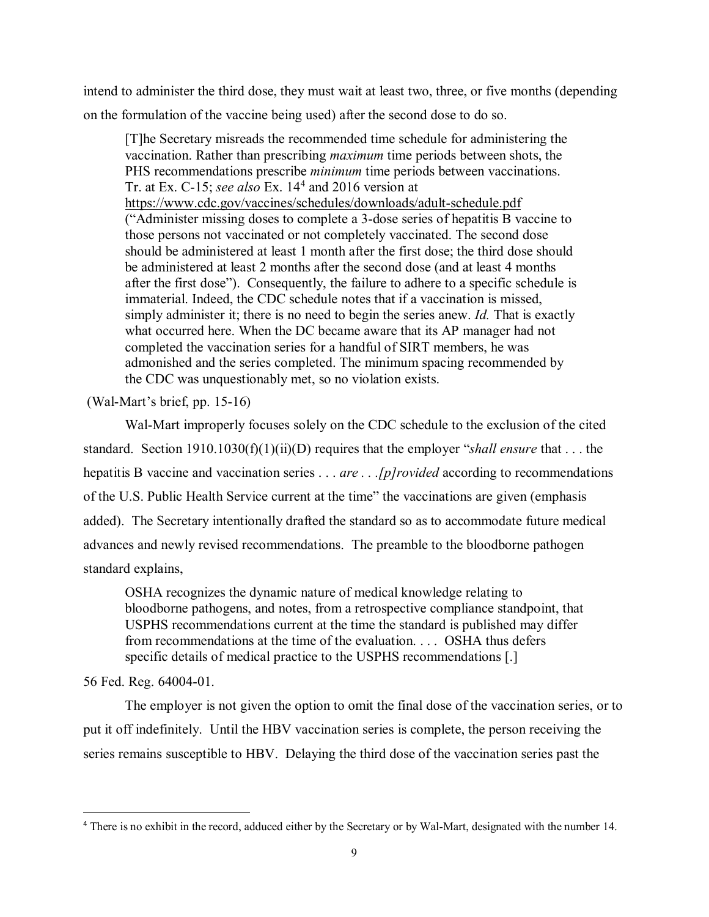intend to administer the third dose, they must wait at least two, three, or five months (depending on the formulation of the vaccine being used) after the second dose to do so.

[T]he Secretary misreads the recommended time schedule for administering the vaccination. Rather than prescribing *maximum* time periods between shots, the PHS recommendations prescribe *minimum* time periods between vaccinations. Tr. at Ex. C-15; *see also* Ex. 14[4](#page-8-0) and 2016 version at https://www.cdc.gov/vaccines/schedules/downloads/adult-schedule.pdf ("Administer missing doses to complete a 3-dose series of hepatitis B vaccine to those persons not vaccinated or not completely vaccinated. The second dose should be administered at least 1 month after the first dose; the third dose should be administered at least 2 months after the second dose (and at least 4 months after the first dose"). Consequently, the failure to adhere to a specific schedule is immaterial. Indeed, the CDC schedule notes that if a vaccination is missed, simply administer it; there is no need to begin the series anew. *Id.* That is exactly what occurred here. When the DC became aware that its AP manager had not completed the vaccination series for a handful of SIRT members, he was admonished and the series completed. The minimum spacing recommended by the CDC was unquestionably met, so no violation exists.

(Wal-Mart's brief, pp. 15-16)

Wal-Mart improperly focuses solely on the CDC schedule to the exclusion of the cited standard. Section 1910.1030(f)(1)(ii)(D) requires that the employer "*shall ensure* that . . . the hepatitis B vaccine and vaccination series . . . *are . . .[p]rovided* according to recommendations of the U.S. Public Health Service current at the time" the vaccinations are given (emphasis added). The Secretary intentionally drafted the standard so as to accommodate future medical advances and newly revised recommendations. The preamble to the bloodborne pathogen standard explains,

OSHA recognizes the dynamic nature of medical knowledge relating to bloodborne pathogens, and notes, from a retrospective compliance standpoint, that USPHS recommendations current at the time the standard is published may differ from recommendations at the time of the evaluation. . . . OSHA thus defers specific details of medical practice to the USPHS recommendations [.]

56 Fed. Reg. 64004-01.

 $\overline{\phantom{a}}$ 

The employer is not given the option to omit the final dose of the vaccination series, or to put it off indefinitely. Until the HBV vaccination series is complete, the person receiving the series remains susceptible to HBV. Delaying the third dose of the vaccination series past the

<span id="page-8-0"></span><sup>4</sup> There is no exhibit in the record, adduced either by the Secretary or by Wal-Mart, designated with the number 14.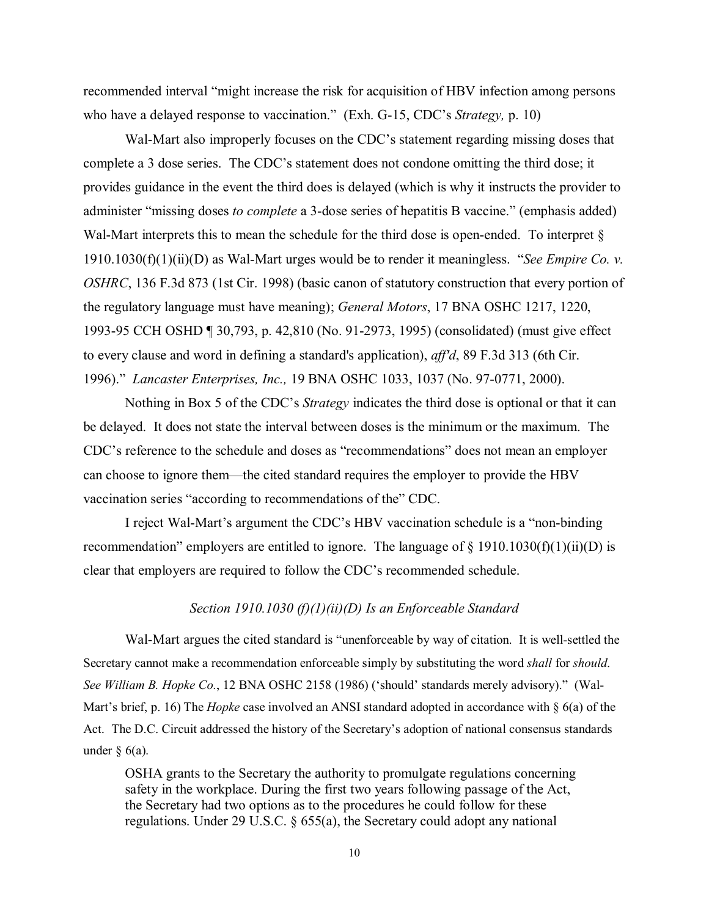recommended interval "might increase the risk for acquisition of HBV infection among persons who have a delayed response to vaccination." (Exh. G-15, CDC's *Strategy,* p. 10)

Wal-Mart also improperly focuses on the CDC's statement regarding missing doses that complete a 3 dose series. The CDC's statement does not condone omitting the third dose; it provides guidance in the event the third does is delayed (which is why it instructs the provider to administer "missing doses *to complete* a 3-dose series of hepatitis B vaccine." (emphasis added) Wal-Mart interprets this to mean the schedule for the third dose is open-ended. To interpret § 1910.1030(f)(1)(ii)(D) as Wal-Mart urges would be to render it meaningless. "*See Empire Co. v. OSHRC*, 136 F.3d 873 (1st Cir. 1998) (basic canon of statutory construction that every portion of the regulatory language must have meaning); *General Motors*, 17 BNA OSHC 1217, 1220, 1993-95 CCH OSHD ¶ 30,793, p. 42,810 (No. 91-2973, 1995) (consolidated) (must give effect to every clause and word in defining a standard's application), *aff'd*, 89 F.3d 313 (6th Cir. 1996)." *Lancaster Enterprises, Inc.,* 19 BNA OSHC 1033, 1037 (No. 97-0771, 2000).

Nothing in Box 5 of the CDC's *Strategy* indicates the third dose is optional or that it can be delayed. It does not state the interval between doses is the minimum or the maximum. The CDC's reference to the schedule and doses as "recommendations" does not mean an employer can choose to ignore them—the cited standard requires the employer to provide the HBV vaccination series "according to recommendations of the" CDC.

I reject Wal-Mart's argument the CDC's HBV vaccination schedule is a "non-binding recommendation" employers are entitled to ignore. The language of  $\S$  1910.1030(f)(1)(ii)(D) is clear that employers are required to follow the CDC's recommended schedule.

#### *Section 1910.1030 (f)(1)(ii)(D) Is an Enforceable Standard*

Wal-Mart argues the cited standard is "unenforceable by way of citation. It is well-settled the Secretary cannot make a recommendation enforceable simply by substituting the word *shall* for *should*. *See William B. Hopke Co.*, 12 BNA OSHC 2158 (1986) ('should' standards merely advisory)." (Wal-Mart's brief, p. 16) The *Hopke* case involved an ANSI standard adopted in accordance with § 6(a) of the Act. The D.C. Circuit addressed the history of the Secretary's adoption of national consensus standards under  $\S$  6(a).

OSHA grants to the Secretary the authority to promulgate regulations concerning safety in the workplace. During the first two years following passage of the Act, the Secretary had two options as to the procedures he could follow for these regulations. Under 29 U.S.C. § 655(a), the Secretary could adopt any national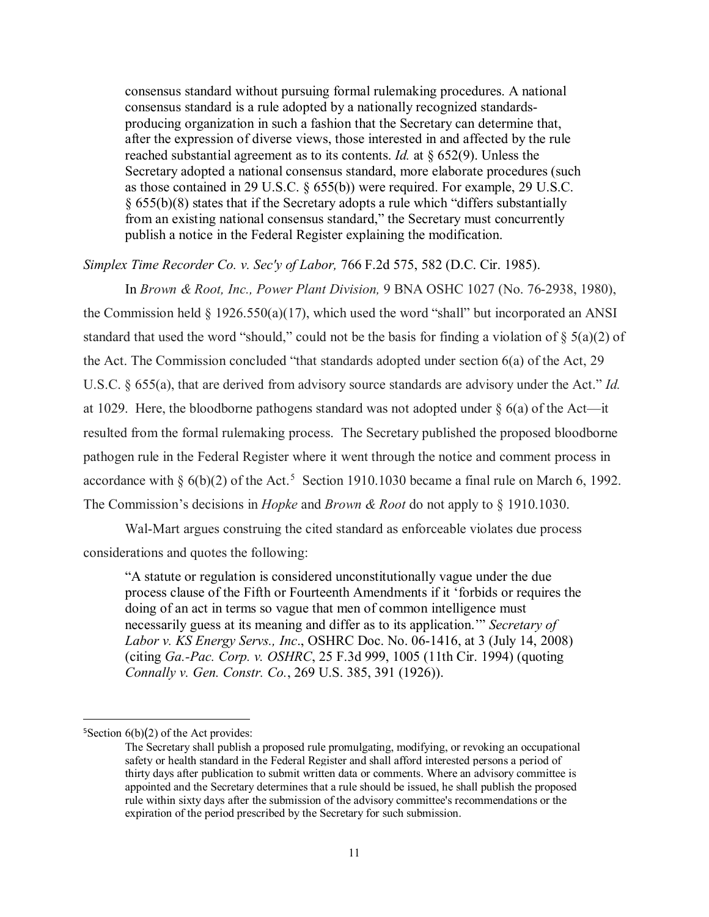consensus standard without pursuing formal rulemaking procedures. A national consensus standard is a rule adopted by a nationally recognized standardsproducing organization in such a fashion that the Secretary can determine that, after the expression of diverse views, those interested in and affected by the rule reached substantial agreement as to its contents. *Id.* at § 652(9). Unless the Secretary adopted a national consensus standard, more elaborate procedures (such as those contained in 29 U.S.C. § 655(b)) were required. For example, 29 U.S.C. § 655(b)(8) states that if the Secretary adopts a rule which "differs substantially from an existing national consensus standard," the Secretary must concurrently publish a notice in the Federal Register explaining the modification.

*Simplex Time Recorder Co. v. Sec'y of Labor,* 766 F.2d 575, 582 (D.C. Cir. 1985).

In *Brown & Root, Inc., Power Plant Division,* 9 BNA OSHC 1027 (No. 76-2938, 1980), the Commission held  $\S$  1926.550(a)(17), which used the word "shall" but incorporated an ANSI standard that used the word "should," could not be the basis for finding a violation of  $\S$  5(a)(2) of the Act. The Commission concluded "that standards adopted under section 6(a) of the Act, 29 U.S.C. § 655(a), that are derived from advisory source standards are advisory under the Act." *Id.* at 1029. Here, the bloodborne pathogens standard was not adopted under  $\S$  6(a) of the Act—it resulted from the formal rulemaking process. The Secretary published the proposed bloodborne pathogen rule in the Federal Register where it went through the notice and comment process in accordance with  $\S 6(b)(2)$  of the Act.<sup>[5](#page-10-0)</sup> Section 1910.1030 became a final rule on March 6, 1992. The Commission's decisions in *Hopke* and *Brown & Root* do not apply to § 1910.1030.

Wal-Mart argues construing the cited standard as enforceable violates due process considerations and quotes the following:

"A statute or regulation is considered unconstitutionally vague under the due process clause of the Fifth or Fourteenth Amendments if it 'forbids or requires the doing of an act in terms so vague that men of common intelligence must necessarily guess at its meaning and differ as to its application.'" *Secretary of Labor v. KS Energy Servs., Inc*., OSHRC Doc. No. 06-1416, at 3 (July 14, 2008) (citing *Ga.-Pac. Corp. v. OSHRC*, 25 F.3d 999, 1005 (11th Cir. 1994) (quoting *Connally v. Gen. Constr. Co.*, 269 U.S. 385, 391 (1926)).

l

<span id="page-10-0"></span><sup>&</sup>lt;sup>5</sup>Section  $6(b)(2)$  of the Act provides:

The Secretary shall publish a proposed rule promulgating, modifying, or revoking an occupational safety or health standard in the Federal Register and shall afford interested persons a period of thirty days after publication to submit written data or comments. Where an advisory committee is appointed and the Secretary determines that a rule should be issued, he shall publish the proposed rule within sixty days after the submission of the advisory committee's recommendations or the expiration of the period prescribed by the Secretary for such submission.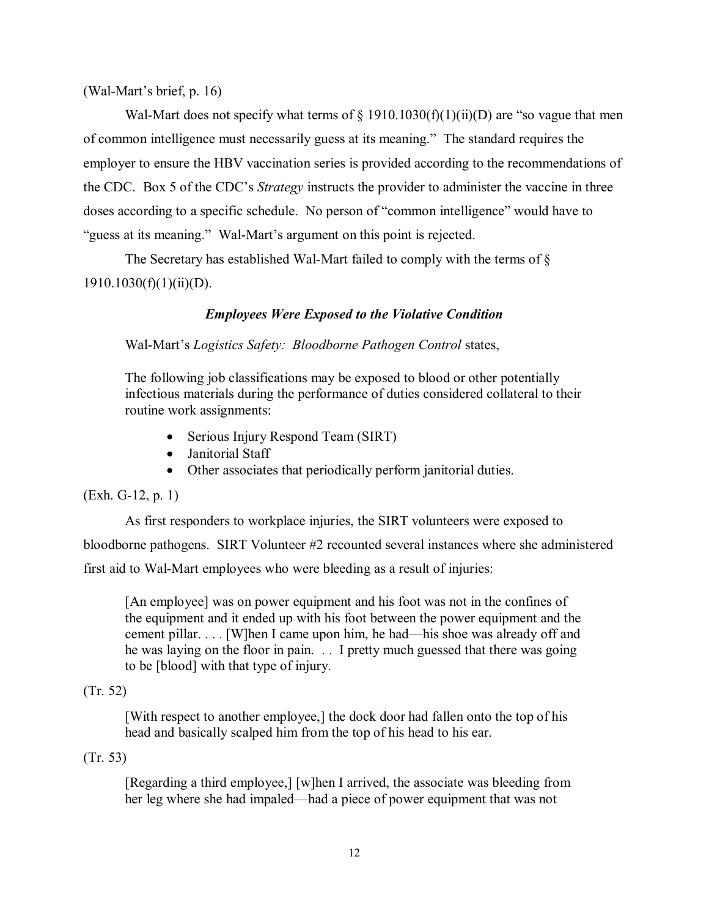(Wal-Mart's brief, p. 16)

Wal-Mart does not specify what terms of  $\S$  1910.1030(f)(1)(ii)(D) are "so vague that men of common intelligence must necessarily guess at its meaning." The standard requires the employer to ensure the HBV vaccination series is provided according to the recommendations of the CDC. Box 5 of the CDC's *Strategy* instructs the provider to administer the vaccine in three doses according to a specific schedule. No person of "common intelligence" would have to "guess at its meaning." Wal-Mart's argument on this point is rejected.

The Secretary has established Wal-Mart failed to comply with the terms of §  $1910.1030(f)(1)(ii)(D)$ .

# *Employees Were Exposed to the Violative Condition*

Wal-Mart's *Logistics Safety: Bloodborne Pathogen Control* states,

The following job classifications may be exposed to blood or other potentially infectious materials during the performance of duties considered collateral to their routine work assignments:

- Serious Injury Respond Team (SIRT)
- Janitorial Staff
- Other associates that periodically perform janitorial duties.

# (Exh. G-12, p. 1)

As first responders to workplace injuries, the SIRT volunteers were exposed to bloodborne pathogens. SIRT Volunteer #2 recounted several instances where she administered first aid to Wal-Mart employees who were bleeding as a result of injuries:

[An employee] was on power equipment and his foot was not in the confines of the equipment and it ended up with his foot between the power equipment and the cement pillar. . . . [W]hen I came upon him, he had—his shoe was already off and he was laying on the floor in pain. . . I pretty much guessed that there was going to be [blood] with that type of injury.

# (Tr. 52)

[With respect to another employee,] the dock door had fallen onto the top of his head and basically scalped him from the top of his head to his ear.

# (Tr. 53)

[Regarding a third employee,] [w]hen I arrived, the associate was bleeding from her leg where she had impaled—had a piece of power equipment that was not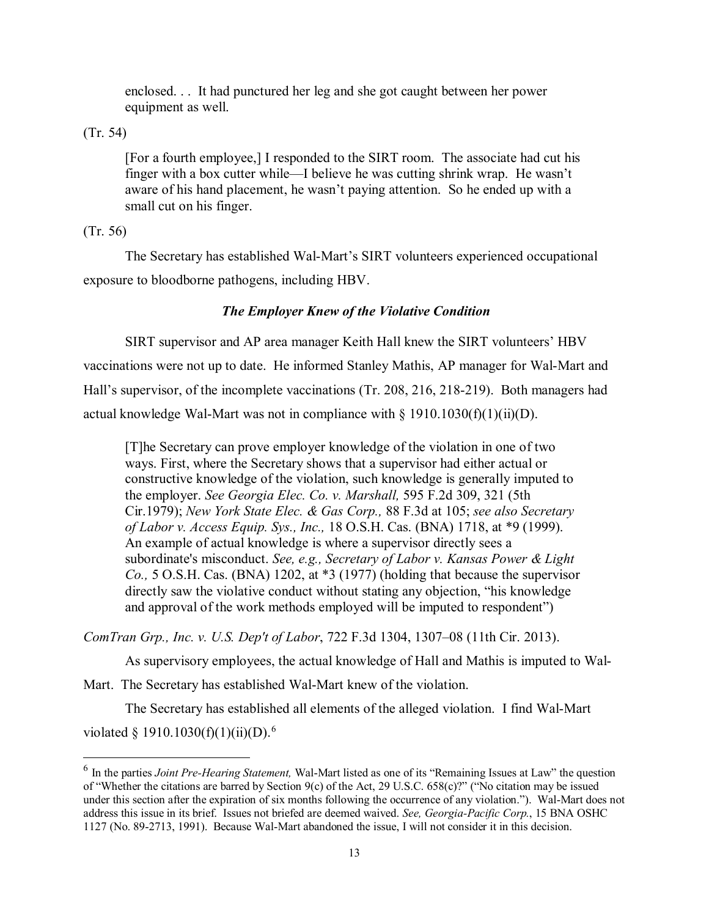enclosed. . . It had punctured her leg and she got caught between her power equipment as well.

(Tr. 54)

[For a fourth employee,] I responded to the SIRT room. The associate had cut his finger with a box cutter while—I believe he was cutting shrink wrap. He wasn't aware of his hand placement, he wasn't paying attention. So he ended up with a small cut on his finger.

(Tr. 56)

 $\overline{\phantom{a}}$ 

The Secretary has established Wal-Mart's SIRT volunteers experienced occupational exposure to bloodborne pathogens, including HBV.

# *The Employer Knew of the Violative Condition*

SIRT supervisor and AP area manager Keith Hall knew the SIRT volunteers' HBV vaccinations were not up to date. He informed Stanley Mathis, AP manager for Wal-Mart and Hall's supervisor, of the incomplete vaccinations (Tr. 208, 216, 218-219). Both managers had actual knowledge Wal-Mart was not in compliance with  $\S$  1910.1030(f)(1)(ii)(D).

[T]he Secretary can prove employer knowledge of the violation in one of two ways. First, where the Secretary shows that a supervisor had either actual or constructive knowledge of the violation, such knowledge is generally imputed to the employer. *See Georgia Elec. Co. v. Marshall,* 595 F.2d 309, 321 (5th Cir.1979); *New York State Elec. & Gas Corp.,* 88 F.3d at 105; *see also Secretary of Labor v. Access Equip. Sys., Inc.,* 18 O.S.H. Cas. (BNA) 1718, at \*9 (1999). An example of actual knowledge is where a supervisor directly sees a subordinate's misconduct. *See, e.g., Secretary of Labor v. Kansas Power & Light Co.,* 5 O.S.H. Cas. (BNA) 1202, at \*3 (1977) (holding that because the supervisor directly saw the violative conduct without stating any objection, "his knowledge and approval of the work methods employed will be imputed to respondent")

*ComTran Grp., Inc. v. U.S. Dep't of Labor*, 722 F.3d 1304, 1307–08 (11th Cir. 2013).

As supervisory employees, the actual knowledge of Hall and Mathis is imputed to Wal-

Mart. The Secretary has established Wal-Mart knew of the violation.

The Secretary has established all elements of the alleged violation. I find Wal-Mart violated § 1910.1030(f)(1)(ii)(D).<sup>[6](#page-12-0)</sup>

<span id="page-12-0"></span><sup>6</sup> In the parties *Joint Pre-Hearing Statement,* Wal-Mart listed as one of its "Remaining Issues at Law" the question of "Whether the citations are barred by Section 9(c) of the Act, 29 U.S.C. 658(c)?" ("No citation may be issued under this section after the expiration of six months following the occurrence of any violation."). Wal-Mart does not address this issue in its brief. Issues not briefed are deemed waived. *See, Georgia-Pacific Corp.*, 15 BNA OSHC 1127 (No. 89-2713, 1991). Because Wal-Mart abandoned the issue, I will not consider it in this decision.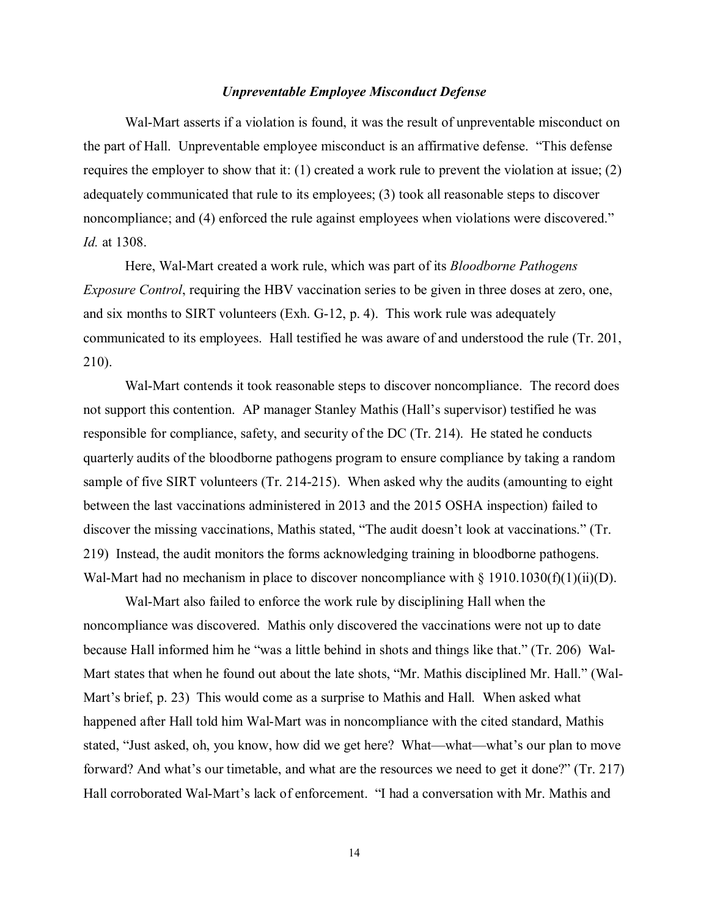## *Unpreventable Employee Misconduct Defense*

Wal-Mart asserts if a violation is found, it was the result of unpreventable misconduct on the part of Hall. Unpreventable employee misconduct is an affirmative defense. "This defense requires the employer to show that it: (1) created a work rule to prevent the violation at issue; (2) adequately communicated that rule to its employees; (3) took all reasonable steps to discover noncompliance; and (4) enforced the rule against employees when violations were discovered." *Id.* at 1308.

Here, Wal-Mart created a work rule, which was part of its *Bloodborne Pathogens Exposure Control*, requiring the HBV vaccination series to be given in three doses at zero, one, and six months to SIRT volunteers (Exh. G-12, p. 4). This work rule was adequately communicated to its employees. Hall testified he was aware of and understood the rule (Tr. 201, 210).

Wal-Mart contends it took reasonable steps to discover noncompliance. The record does not support this contention. AP manager Stanley Mathis (Hall's supervisor) testified he was responsible for compliance, safety, and security of the DC (Tr. 214). He stated he conducts quarterly audits of the bloodborne pathogens program to ensure compliance by taking a random sample of five SIRT volunteers (Tr. 214-215). When asked why the audits (amounting to eight between the last vaccinations administered in 2013 and the 2015 OSHA inspection) failed to discover the missing vaccinations, Mathis stated, "The audit doesn't look at vaccinations." (Tr. 219) Instead, the audit monitors the forms acknowledging training in bloodborne pathogens. Wal-Mart had no mechanism in place to discover noncompliance with  $\S 1910.1030(f)(1)(ii)(D)$ .

Wal-Mart also failed to enforce the work rule by disciplining Hall when the noncompliance was discovered. Mathis only discovered the vaccinations were not up to date because Hall informed him he "was a little behind in shots and things like that." (Tr. 206) Wal-Mart states that when he found out about the late shots, "Mr. Mathis disciplined Mr. Hall." (Wal-Mart's brief, p. 23) This would come as a surprise to Mathis and Hall. When asked what happened after Hall told him Wal-Mart was in noncompliance with the cited standard, Mathis stated, "Just asked, oh, you know, how did we get here? What—what—what's our plan to move forward? And what's our timetable, and what are the resources we need to get it done?" (Tr. 217) Hall corroborated Wal-Mart's lack of enforcement. "I had a conversation with Mr. Mathis and

14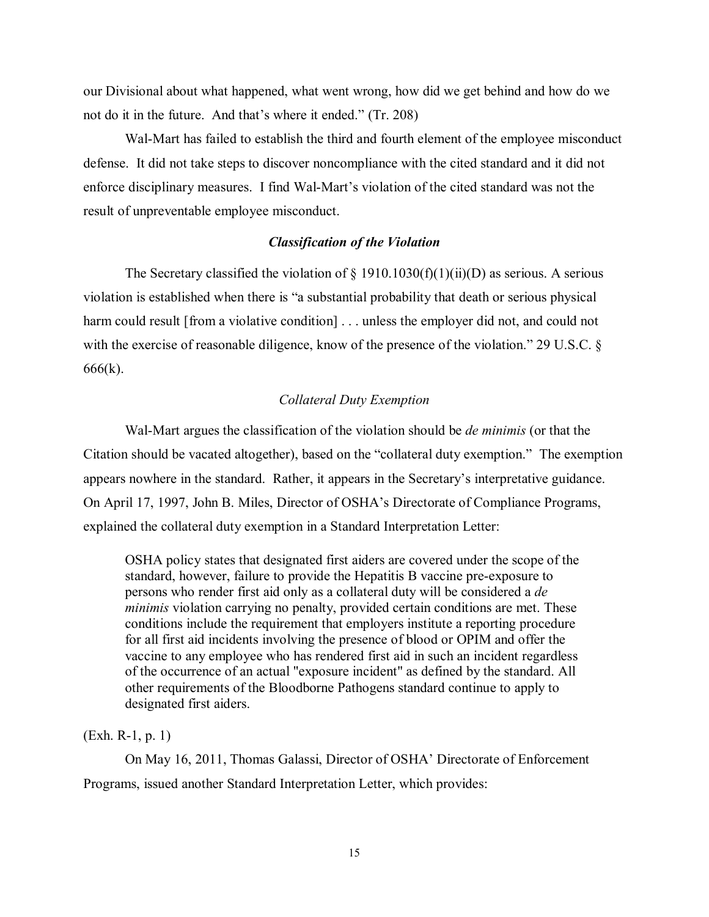our Divisional about what happened, what went wrong, how did we get behind and how do we not do it in the future. And that's where it ended." (Tr. 208)

Wal-Mart has failed to establish the third and fourth element of the employee misconduct defense. It did not take steps to discover noncompliance with the cited standard and it did not enforce disciplinary measures. I find Wal-Mart's violation of the cited standard was not the result of unpreventable employee misconduct.

## *Classification of the Violation*

The Secretary classified the violation of  $\S$  1910.1030(f)(1)(ii)(D) as serious. A serious violation is established when there is "a substantial probability that death or serious physical harm could result [from a violative condition] . . . unless the employer did not, and could not with the exercise of reasonable diligence, know of the presence of the violation." 29 U.S.C. § 666(k).

## *Collateral Duty Exemption*

Wal-Mart argues the classification of the violation should be *de minimis* (or that the Citation should be vacated altogether), based on the "collateral duty exemption." The exemption appears nowhere in the standard. Rather, it appears in the Secretary's interpretative guidance. On April 17, 1997, John B. Miles, Director of OSHA's Directorate of Compliance Programs, explained the collateral duty exemption in a Standard Interpretation Letter:

OSHA policy states that designated first aiders are covered under the scope of the standard, however, failure to provide the Hepatitis B vaccine pre-exposure to persons who render first aid only as a collateral duty will be considered a *de minimis* violation carrying no penalty, provided certain conditions are met. These conditions include the requirement that employers institute a reporting procedure for all first aid incidents involving the presence of blood or OPIM and offer the vaccine to any employee who has rendered first aid in such an incident regardless of the occurrence of an actual "exposure incident" as defined by the standard. All other requirements of the Bloodborne Pathogens standard continue to apply to designated first aiders.

(Exh. R-1, p. 1)

On May 16, 2011, Thomas Galassi, Director of OSHA' Directorate of Enforcement Programs, issued another Standard Interpretation Letter, which provides: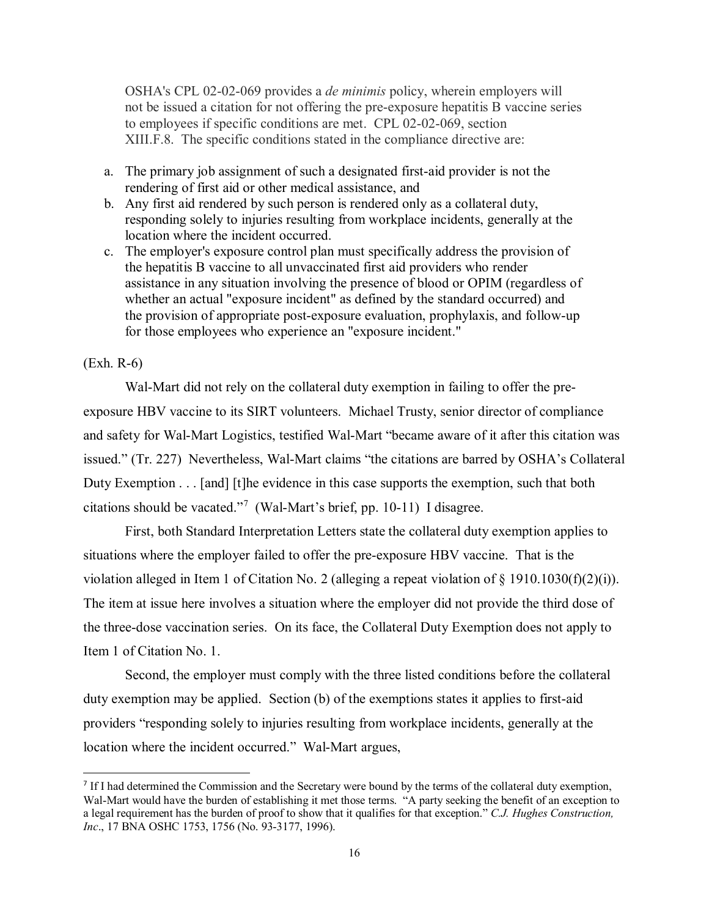OSHA's CPL 02-02-069 provides a *de minimis* policy, wherein employers will not be issued a citation for not offering the pre-exposure hepatitis B vaccine series to employees if specific conditions are met. CPL 02-02-069, section XIII.F.8. The specific conditions stated in the compliance directive are:

- a. The primary job assignment of such a designated first-aid provider is not the rendering of first aid or other medical assistance, and
- b. Any first aid rendered by such person is rendered only as a collateral duty, responding solely to injuries resulting from workplace incidents, generally at the location where the incident occurred.
- c. The employer's exposure control plan must specifically address the provision of the hepatitis B vaccine to all unvaccinated first aid providers who render assistance in any situation involving the presence of blood or OPIM (regardless of whether an actual "exposure incident" as defined by the standard occurred) and the provision of appropriate post-exposure evaluation, prophylaxis, and follow-up for those employees who experience an "exposure incident."

### (Exh. R-6)

 $\overline{\phantom{a}}$ 

Wal-Mart did not rely on the collateral duty exemption in failing to offer the preexposure HBV vaccine to its SIRT volunteers. Michael Trusty, senior director of compliance and safety for Wal-Mart Logistics, testified Wal-Mart "became aware of it after this citation was issued." (Tr. 227) Nevertheless, Wal-Mart claims "the citations are barred by OSHA's Collateral Duty Exemption . . . [and] [t]he evidence in this case supports the exemption, such that both citations should be vacated."[7](#page-15-0) (Wal-Mart's brief, pp. 10-11) I disagree.

First, both Standard Interpretation Letters state the collateral duty exemption applies to situations where the employer failed to offer the pre-exposure HBV vaccine. That is the violation alleged in Item 1 of Citation No. 2 (alleging a repeat violation of § 1910.1030(f)(2)(i)). The item at issue here involves a situation where the employer did not provide the third dose of the three-dose vaccination series. On its face, the Collateral Duty Exemption does not apply to Item 1 of Citation No. 1.

Second, the employer must comply with the three listed conditions before the collateral duty exemption may be applied. Section (b) of the exemptions states it applies to first-aid providers "responding solely to injuries resulting from workplace incidents, generally at the location where the incident occurred." Wal-Mart argues,

<span id="page-15-0"></span><sup>&</sup>lt;sup>7</sup> If I had determined the Commission and the Secretary were bound by the terms of the collateral duty exemption, Wal-Mart would have the burden of establishing it met those terms. "A party seeking the benefit of an exception to a legal requirement has the burden of proof to show that it qualifies for that exception." *C.J. Hughes Construction, Inc*., 17 BNA OSHC 1753, 1756 (No. 93-3177, 1996).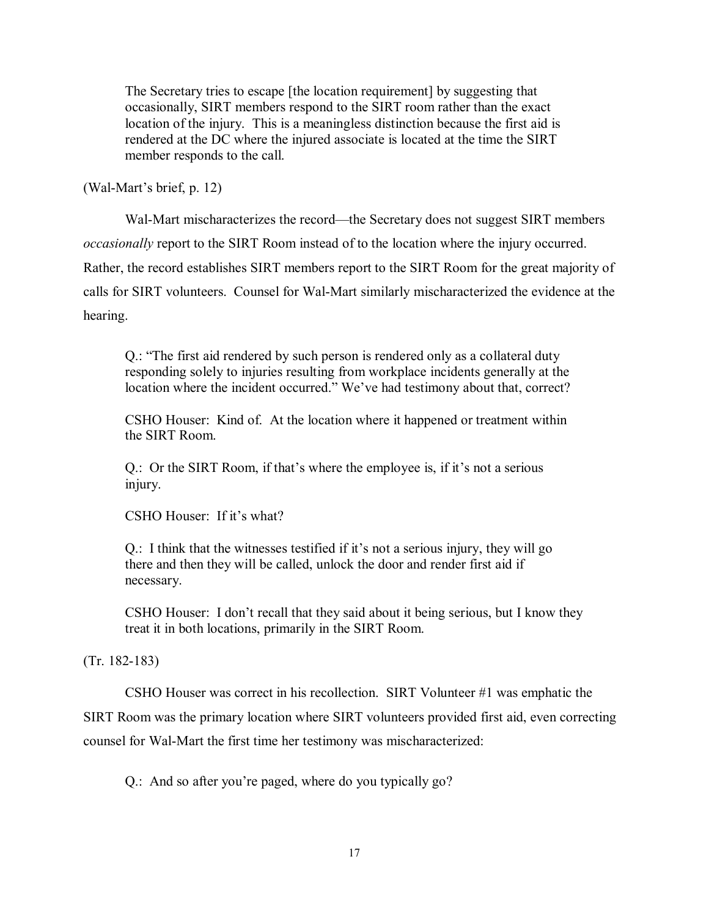The Secretary tries to escape [the location requirement] by suggesting that occasionally, SIRT members respond to the SIRT room rather than the exact location of the injury. This is a meaningless distinction because the first aid is rendered at the DC where the injured associate is located at the time the SIRT member responds to the call.

(Wal-Mart's brief, p. 12)

Wal-Mart mischaracterizes the record—the Secretary does not suggest SIRT members *occasionally* report to the SIRT Room instead of to the location where the injury occurred. Rather, the record establishes SIRT members report to the SIRT Room for the great majority of calls for SIRT volunteers. Counsel for Wal-Mart similarly mischaracterized the evidence at the hearing.

Q.: "The first aid rendered by such person is rendered only as a collateral duty responding solely to injuries resulting from workplace incidents generally at the location where the incident occurred." We've had testimony about that, correct?

CSHO Houser: Kind of. At the location where it happened or treatment within the SIRT Room.

Q.: Or the SIRT Room, if that's where the employee is, if it's not a serious injury.

CSHO Houser: If it's what?

Q.: I think that the witnesses testified if it's not a serious injury, they will go there and then they will be called, unlock the door and render first aid if necessary.

CSHO Houser: I don't recall that they said about it being serious, but I know they treat it in both locations, primarily in the SIRT Room.

(Tr. 182-183)

CSHO Houser was correct in his recollection. SIRT Volunteer #1 was emphatic the SIRT Room was the primary location where SIRT volunteers provided first aid, even correcting counsel for Wal-Mart the first time her testimony was mischaracterized:

Q.: And so after you're paged, where do you typically go?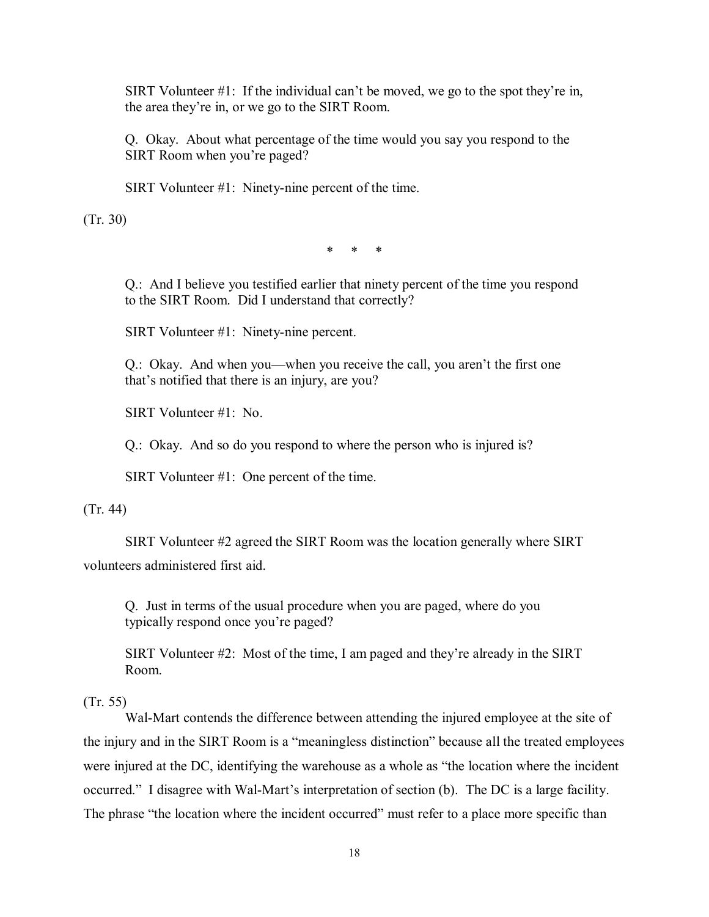SIRT Volunteer  $\#1$ : If the individual can't be moved, we go to the spot they're in, the area they're in, or we go to the SIRT Room.

Q. Okay. About what percentage of the time would you say you respond to the SIRT Room when you're paged?

SIRT Volunteer #1: Ninety-nine percent of the time.

(Tr. 30)

\* \* \*

Q.: And I believe you testified earlier that ninety percent of the time you respond to the SIRT Room. Did I understand that correctly?

SIRT Volunteer #1: Ninety-nine percent.

Q.: Okay. And when you—when you receive the call, you aren't the first one that's notified that there is an injury, are you?

SIRT Volunteer #1: No.

Q.: Okay. And so do you respond to where the person who is injured is?

SIRT Volunteer #1: One percent of the time.

(Tr. 44)

SIRT Volunteer #2 agreed the SIRT Room was the location generally where SIRT volunteers administered first aid.

Q. Just in terms of the usual procedure when you are paged, where do you typically respond once you're paged?

SIRT Volunteer #2: Most of the time, I am paged and they're already in the SIRT Room.

(Tr. 55)

Wal-Mart contends the difference between attending the injured employee at the site of the injury and in the SIRT Room is a "meaningless distinction" because all the treated employees were injured at the DC, identifying the warehouse as a whole as "the location where the incident occurred." I disagree with Wal-Mart's interpretation of section (b). The DC is a large facility. The phrase "the location where the incident occurred" must refer to a place more specific than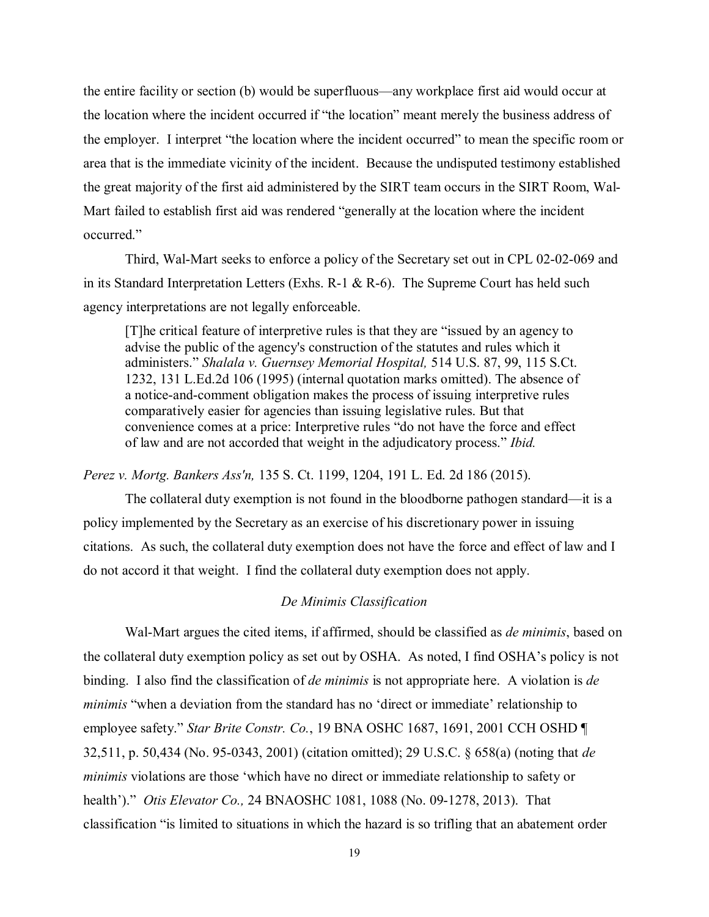the entire facility or section (b) would be superfluous—any workplace first aid would occur at the location where the incident occurred if "the location" meant merely the business address of the employer. I interpret "the location where the incident occurred" to mean the specific room or area that is the immediate vicinity of the incident. Because the undisputed testimony established the great majority of the first aid administered by the SIRT team occurs in the SIRT Room, Wal-Mart failed to establish first aid was rendered "generally at the location where the incident occurred."

 Third, Wal-Mart seeks to enforce a policy of the Secretary set out in CPL 02-02-069 and in its Standard Interpretation Letters (Exhs. R-1 & R-6). The Supreme Court has held such agency interpretations are not legally enforceable.

[T]he critical feature of interpretive rules is that they are "issued by an agency to advise the public of the agency's construction of the statutes and rules which it administers." *Shalala v. Guernsey Memorial Hospital,* 514 U.S. 87, 99, 115 S.Ct. 1232, 131 L.Ed.2d 106 (1995) (internal quotation marks omitted). The absence of a notice-and-comment obligation makes the process of issuing interpretive rules comparatively easier for agencies than issuing legislative rules. But that convenience comes at a price: Interpretive rules "do not have the force and effect of law and are not accorded that weight in the adjudicatory process." *Ibid.*

*Perez v. Mortg. Bankers Ass'n,* 135 S. Ct. 1199, 1204, 191 L. Ed. 2d 186 (2015).

The collateral duty exemption is not found in the bloodborne pathogen standard—it is a policy implemented by the Secretary as an exercise of his discretionary power in issuing citations. As such, the collateral duty exemption does not have the force and effect of law and I do not accord it that weight. I find the collateral duty exemption does not apply.

#### *De Minimis Classification*

Wal-Mart argues the cited items, if affirmed, should be classified as *de minimis*, based on the collateral duty exemption policy as set out by OSHA. As noted, I find OSHA's policy is not binding. I also find the classification of *de minimis* is not appropriate here. A violation is *de minimis* "when a deviation from the standard has no 'direct or immediate' relationship to employee safety." *Star Brite Constr. Co.*, 19 BNA OSHC 1687, 1691, 2001 CCH OSHD ¶ 32,511, p. 50,434 (No. 95-0343, 2001) (citation omitted); 29 U.S.C. § 658(a) (noting that *de minimis* violations are those 'which have no direct or immediate relationship to safety or health')." *Otis Elevator Co.,* 24 BNAOSHC 1081, 1088 (No. 09-1278, 2013). That classification "is limited to situations in which the hazard is so trifling that an abatement order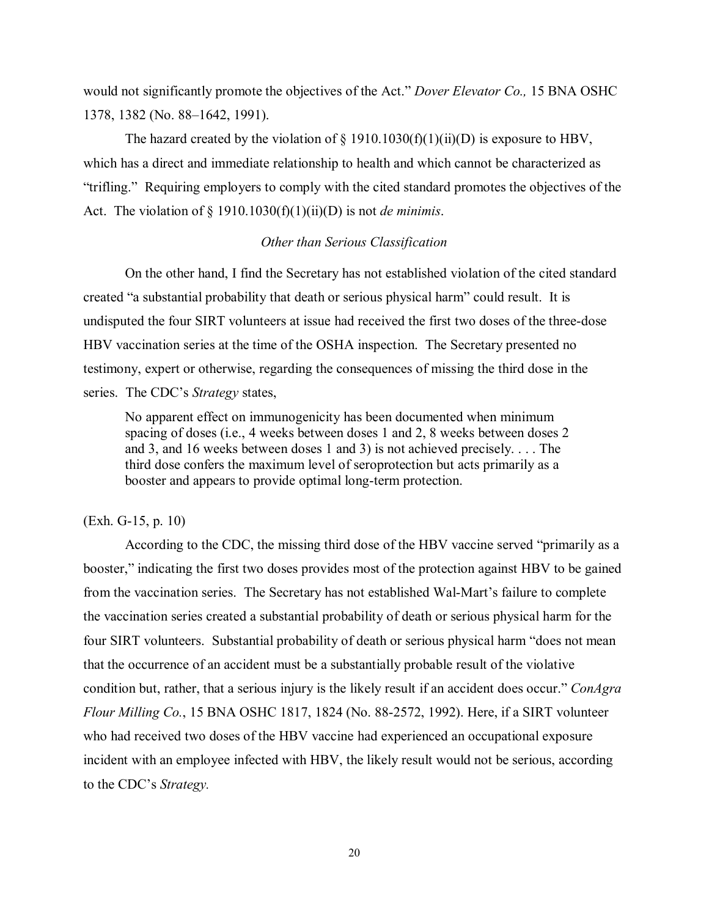would not significantly promote the objectives of the Act." *Dover Elevator Co.,* 15 BNA OSHC 1378, 1382 (No. 88–1642, 1991).

The hazard created by the violation of  $\S$  1910.1030(f)(1)(ii)(D) is exposure to HBV, which has a direct and immediate relationship to health and which cannot be characterized as "trifling." Requiring employers to comply with the cited standard promotes the objectives of the Act. The violation of § 1910.1030(f)(1)(ii)(D) is not *de minimis*.

## *Other than Serious Classification*

On the other hand, I find the Secretary has not established violation of the cited standard created "a substantial probability that death or serious physical harm" could result. It is undisputed the four SIRT volunteers at issue had received the first two doses of the three-dose HBV vaccination series at the time of the OSHA inspection. The Secretary presented no testimony, expert or otherwise, regarding the consequences of missing the third dose in the series. The CDC's *Strategy* states,

No apparent effect on immunogenicity has been documented when minimum spacing of doses (i.e., 4 weeks between doses 1 and 2, 8 weeks between doses 2 and 3, and 16 weeks between doses 1 and 3) is not achieved precisely. . . . The third dose confers the maximum level of seroprotection but acts primarily as a booster and appears to provide optimal long-term protection.

## (Exh. G-15, p. 10)

According to the CDC, the missing third dose of the HBV vaccine served "primarily as a booster," indicating the first two doses provides most of the protection against HBV to be gained from the vaccination series. The Secretary has not established Wal-Mart's failure to complete the vaccination series created a substantial probability of death or serious physical harm for the four SIRT volunteers. Substantial probability of death or serious physical harm "does not mean that the occurrence of an accident must be a substantially probable result of the violative condition but, rather, that a serious injury is the likely result if an accident does occur." *ConAgra Flour Milling Co.*, 15 BNA OSHC 1817, 1824 (No. 88-2572, 1992). Here, if a SIRT volunteer who had received two doses of the HBV vaccine had experienced an occupational exposure incident with an employee infected with HBV, the likely result would not be serious, according to the CDC's *Strategy.*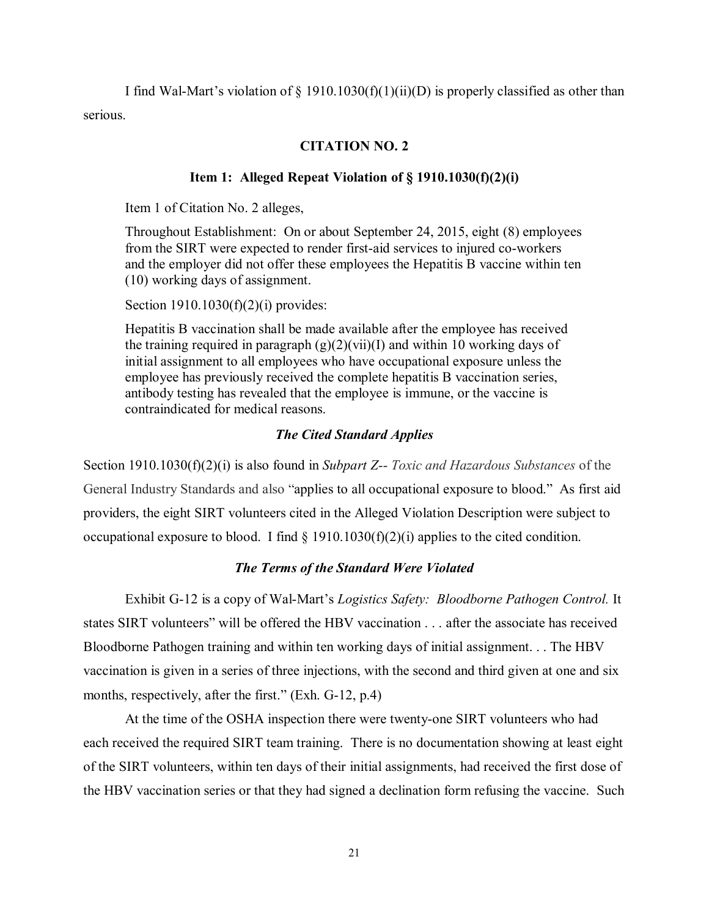I find Wal-Mart's violation of  $\S$  1910.1030(f)(1)(ii)(D) is properly classified as other than serious.

## **CITATION NO. 2**

## **Item 1: Alleged Repeat Violation of § 1910.1030(f)(2)(i)**

Item 1 of Citation No. 2 alleges,

Throughout Establishment: On or about September 24, 2015, eight (8) employees from the SIRT were expected to render first-aid services to injured co-workers and the employer did not offer these employees the Hepatitis B vaccine within ten (10) working days of assignment.

Section 1910.1030(f)(2)(i) provides:

Hepatitis B vaccination shall be made available after the employee has received the training required in paragraph  $(g)(2)(vi)(I)$  and within 10 working days of initial assignment to all employees who have occupational exposure unless the employee has previously received the complete hepatitis B vaccination series, antibody testing has revealed that the employee is immune, or the vaccine is contraindicated for medical reasons.

## *The Cited Standard Applies*

Section 1910.1030(f)(2)(i) is also found in *Subpart Z-- Toxic and Hazardous Substances* of the General Industry Standards and also "applies to all occupational exposure to blood." As first aid providers, the eight SIRT volunteers cited in the Alleged Violation Description were subject to occupational exposure to blood. I find  $\S$  1910.1030(f)(2)(i) applies to the cited condition.

## *The Terms of the Standard Were Violated*

Exhibit G-12 is a copy of Wal-Mart's *Logistics Safety: Bloodborne Pathogen Control.* It states SIRT volunteers" will be offered the HBV vaccination . . . after the associate has received Bloodborne Pathogen training and within ten working days of initial assignment. . . The HBV vaccination is given in a series of three injections, with the second and third given at one and six months, respectively, after the first." (Exh. G-12, p.4)

At the time of the OSHA inspection there were twenty-one SIRT volunteers who had each received the required SIRT team training. There is no documentation showing at least eight of the SIRT volunteers, within ten days of their initial assignments, had received the first dose of the HBV vaccination series or that they had signed a declination form refusing the vaccine. Such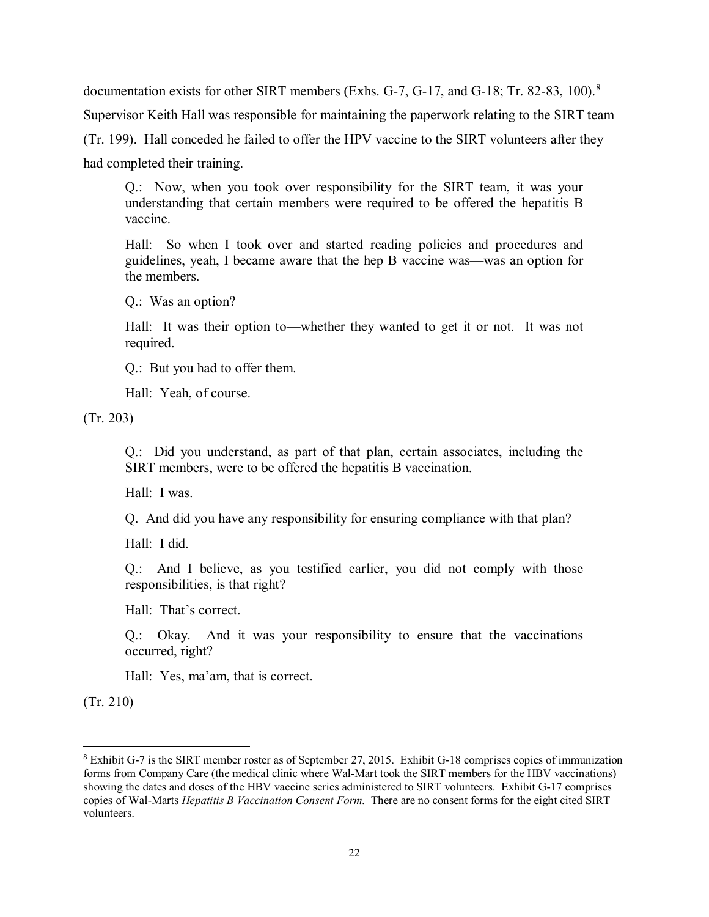documentation exists for other SIRT members (Exhs. G-7, G-17, and G-1[8](#page-21-0); Tr. 82-83, 100).<sup>8</sup> Supervisor Keith Hall was responsible for maintaining the paperwork relating to the SIRT team (Tr. 199). Hall conceded he failed to offer the HPV vaccine to the SIRT volunteers after they had completed their training.

Q.: Now, when you took over responsibility for the SIRT team, it was your understanding that certain members were required to be offered the hepatitis B vaccine.

Hall: So when I took over and started reading policies and procedures and guidelines, yeah, I became aware that the hep B vaccine was—was an option for the members.

Q.: Was an option?

Hall: It was their option to—whether they wanted to get it or not. It was not required.

Q.: But you had to offer them.

Hall: Yeah, of course.

(Tr. 203)

Q.: Did you understand, as part of that plan, certain associates, including the SIRT members, were to be offered the hepatitis B vaccination.

Hall: I was.

Q. And did you have any responsibility for ensuring compliance with that plan?

Hall: I did.

Q.: And I believe, as you testified earlier, you did not comply with those responsibilities, is that right?

Hall: That's correct.

Q.: Okay. And it was your responsibility to ensure that the vaccinations occurred, right?

Hall: Yes, ma'am, that is correct.

(Tr. 210)

 $\overline{\phantom{a}}$ 

<span id="page-21-0"></span><sup>8</sup> Exhibit G-7 is the SIRT member roster as of September 27, 2015. Exhibit G-18 comprises copies of immunization forms from Company Care (the medical clinic where Wal-Mart took the SIRT members for the HBV vaccinations) showing the dates and doses of the HBV vaccine series administered to SIRT volunteers. Exhibit G-17 comprises copies of Wal-Marts *Hepatitis B Vaccination Consent Form.* There are no consent forms for the eight cited SIRT volunteers.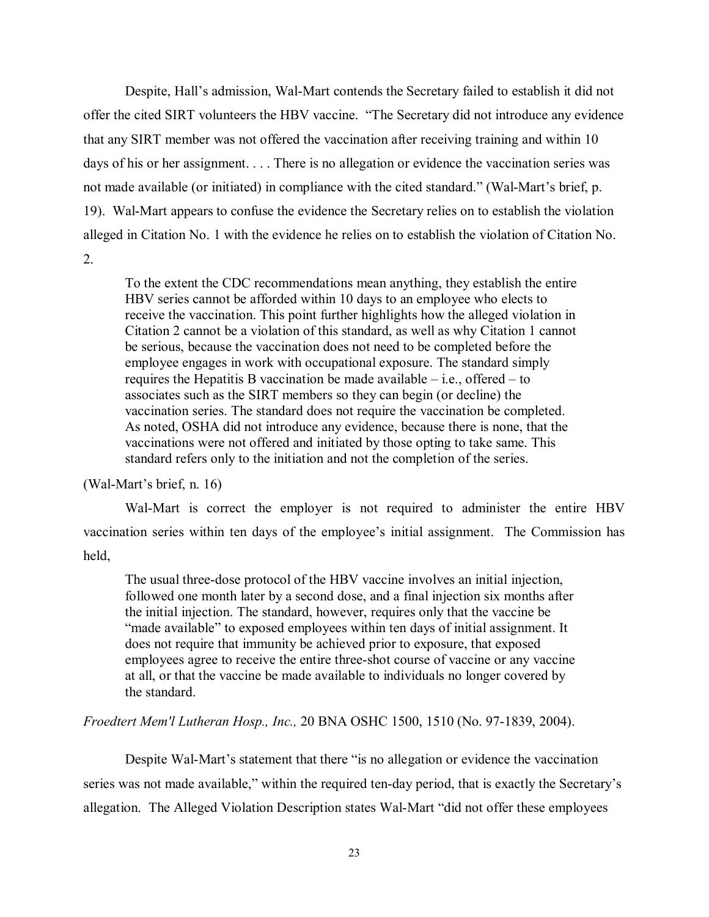Despite, Hall's admission, Wal-Mart contends the Secretary failed to establish it did not offer the cited SIRT volunteers the HBV vaccine. "The Secretary did not introduce any evidence that any SIRT member was not offered the vaccination after receiving training and within 10 days of his or her assignment. . . . There is no allegation or evidence the vaccination series was not made available (or initiated) in compliance with the cited standard." (Wal-Mart's brief, p. 19). Wal-Mart appears to confuse the evidence the Secretary relies on to establish the violation alleged in Citation No. 1 with the evidence he relies on to establish the violation of Citation No. 2.

To the extent the CDC recommendations mean anything, they establish the entire HBV series cannot be afforded within 10 days to an employee who elects to receive the vaccination. This point further highlights how the alleged violation in Citation 2 cannot be a violation of this standard, as well as why Citation 1 cannot be serious, because the vaccination does not need to be completed before the employee engages in work with occupational exposure. The standard simply requires the Hepatitis B vaccination be made available  $-$  i.e., offered  $-$  to associates such as the SIRT members so they can begin (or decline) the vaccination series. The standard does not require the vaccination be completed. As noted, OSHA did not introduce any evidence, because there is none, that the vaccinations were not offered and initiated by those opting to take same. This standard refers only to the initiation and not the completion of the series.

(Wal-Mart's brief, n. 16)

Wal-Mart is correct the employer is not required to administer the entire HBV vaccination series within ten days of the employee's initial assignment. The Commission has held,

The usual three-dose protocol of the HBV vaccine involves an initial injection, followed one month later by a second dose, and a final injection six months after the initial injection. The standard, however, requires only that the vaccine be "made available" to exposed employees within ten days of initial assignment. It does not require that immunity be achieved prior to exposure, that exposed employees agree to receive the entire three-shot course of vaccine or any vaccine at all, or that the vaccine be made available to individuals no longer covered by the standard.

*Froedtert Mem'l Lutheran Hosp., Inc.,* 20 BNA OSHC 1500, 1510 (No. 97-1839, 2004).

Despite Wal-Mart's statement that there "is no allegation or evidence the vaccination series was not made available," within the required ten-day period, that is exactly the Secretary's allegation. The Alleged Violation Description states Wal-Mart "did not offer these employees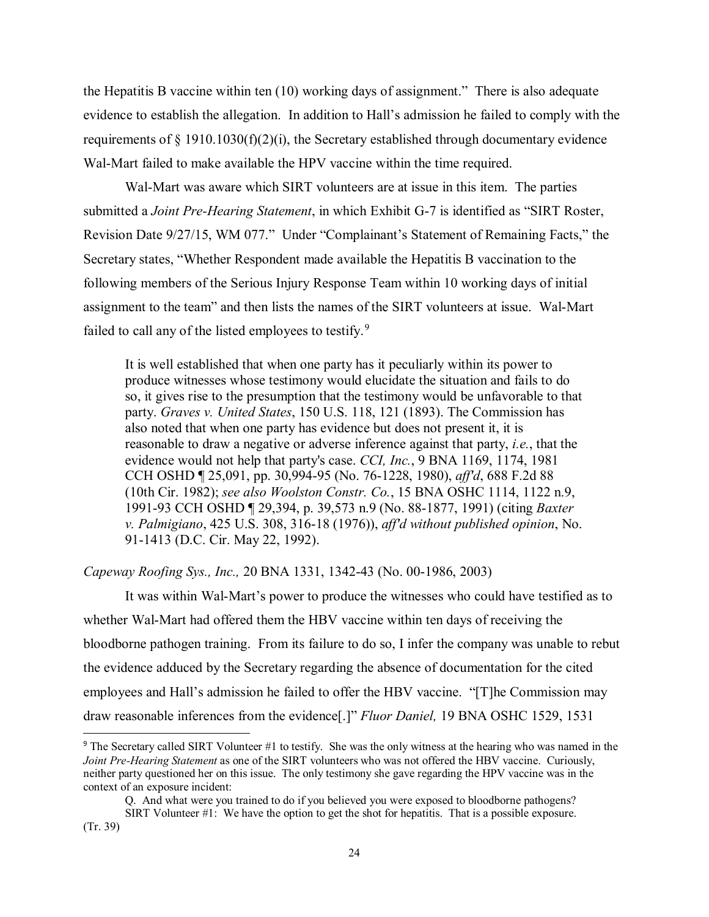the Hepatitis B vaccine within ten (10) working days of assignment." There is also adequate evidence to establish the allegation. In addition to Hall's admission he failed to comply with the requirements of  $\S$  1910.1030(f)(2)(i), the Secretary established through documentary evidence Wal-Mart failed to make available the HPV vaccine within the time required.

Wal-Mart was aware which SIRT volunteers are at issue in this item. The parties submitted a *Joint Pre-Hearing Statement*, in which Exhibit G-7 is identified as "SIRT Roster, Revision Date 9/27/15, WM 077." Under "Complainant's Statement of Remaining Facts," the Secretary states, "Whether Respondent made available the Hepatitis B vaccination to the following members of the Serious Injury Response Team within 10 working days of initial assignment to the team" and then lists the names of the SIRT volunteers at issue. Wal-Mart failed to call any of the listed employees to testify.<sup>[9](#page-23-0)</sup>

It is well established that when one party has it peculiarly within its power to produce witnesses whose testimony would elucidate the situation and fails to do so, it gives rise to the presumption that the testimony would be unfavorable to that party. *Graves v. United States*, 150 U.S. 118, 121 (1893). The Commission has also noted that when one party has evidence but does not present it, it is reasonable to draw a negative or adverse inference against that party, *i.e.*, that the evidence would not help that party's case. *CCI, Inc.*, 9 BNA 1169, 1174, 1981 CCH OSHD ¶ 25,091, pp. 30,994-95 (No. 76-1228, 1980), *aff'd*, 688 F.2d 88 (10th Cir. 1982); *see also Woolston Constr. Co.*, 15 BNA OSHC 1114, 1122 n.9, 1991-93 CCH OSHD ¶ 29,394, p. 39,573 n.9 (No. 88-1877, 1991) (citing *Baxter v. Palmigiano*, 425 U.S. 308, 316-18 (1976)), *aff'd without published opinion*, No. 91-1413 (D.C. Cir. May 22, 1992).

*Capeway Roofing Sys., Inc.,* 20 BNA 1331, 1342-43 (No. 00-1986, 2003)

l

It was within Wal-Mart's power to produce the witnesses who could have testified as to whether Wal-Mart had offered them the HBV vaccine within ten days of receiving the bloodborne pathogen training. From its failure to do so, I infer the company was unable to rebut the evidence adduced by the Secretary regarding the absence of documentation for the cited employees and Hall's admission he failed to offer the HBV vaccine. "[T]he Commission may draw reasonable inferences from the evidence[.]" *Fluor Daniel,* 19 BNA OSHC 1529, 1531

<span id="page-23-0"></span><sup>9</sup> The Secretary called SIRT Volunteer #1 to testify. She was the only witness at the hearing who was named in the *Joint Pre-Hearing Statement* as one of the SIRT volunteers who was not offered the HBV vaccine. Curiously, neither party questioned her on this issue. The only testimony she gave regarding the HPV vaccine was in the context of an exposure incident:

Q. And what were you trained to do if you believed you were exposed to bloodborne pathogens?

SIRT Volunteer #1: We have the option to get the shot for hepatitis. That is a possible exposure. (Tr. 39)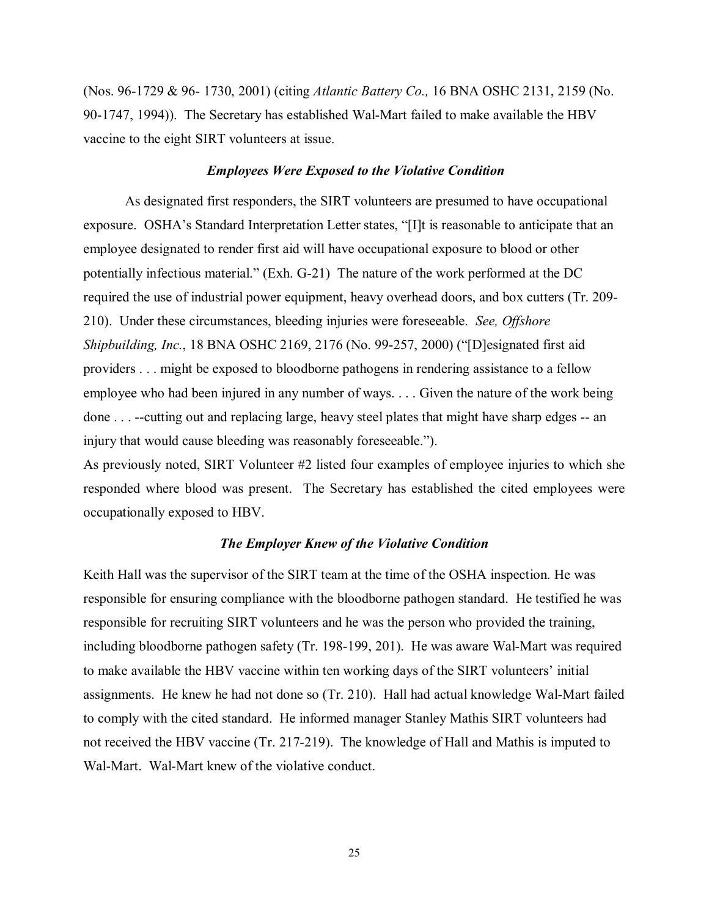(Nos. 96-1729 & 96- 1730, 2001) (citing *Atlantic Battery Co.,* 16 BNA OSHC 2131, 2159 (No. 90-1747, 1994)). The Secretary has established Wal-Mart failed to make available the HBV vaccine to the eight SIRT volunteers at issue.

#### *Employees Were Exposed to the Violative Condition*

As designated first responders, the SIRT volunteers are presumed to have occupational exposure. OSHA's Standard Interpretation Letter states, "[I]t is reasonable to anticipate that an employee designated to render first aid will have occupational exposure to blood or other potentially infectious material." (Exh. G-21) The nature of the work performed at the DC required the use of industrial power equipment, heavy overhead doors, and box cutters (Tr. 209- 210). Under these circumstances, bleeding injuries were foreseeable. *See, Offshore Shipbuilding, Inc.*, 18 BNA OSHC 2169, 2176 (No. 99-257, 2000) ("[D]esignated first aid providers . . . might be exposed to bloodborne pathogens in rendering assistance to a fellow employee who had been injured in any number of ways. . . . Given the nature of the work being done . . . --cutting out and replacing large, heavy steel plates that might have sharp edges -- an injury that would cause bleeding was reasonably foreseeable.").

As previously noted, SIRT Volunteer #2 listed four examples of employee injuries to which she responded where blood was present. The Secretary has established the cited employees were occupationally exposed to HBV.

### *The Employer Knew of the Violative Condition*

Keith Hall was the supervisor of the SIRT team at the time of the OSHA inspection. He was responsible for ensuring compliance with the bloodborne pathogen standard. He testified he was responsible for recruiting SIRT volunteers and he was the person who provided the training, including bloodborne pathogen safety (Tr. 198-199, 201). He was aware Wal-Mart was required to make available the HBV vaccine within ten working days of the SIRT volunteers' initial assignments. He knew he had not done so (Tr. 210). Hall had actual knowledge Wal-Mart failed to comply with the cited standard. He informed manager Stanley Mathis SIRT volunteers had not received the HBV vaccine (Tr. 217-219). The knowledge of Hall and Mathis is imputed to Wal-Mart. Wal-Mart knew of the violative conduct.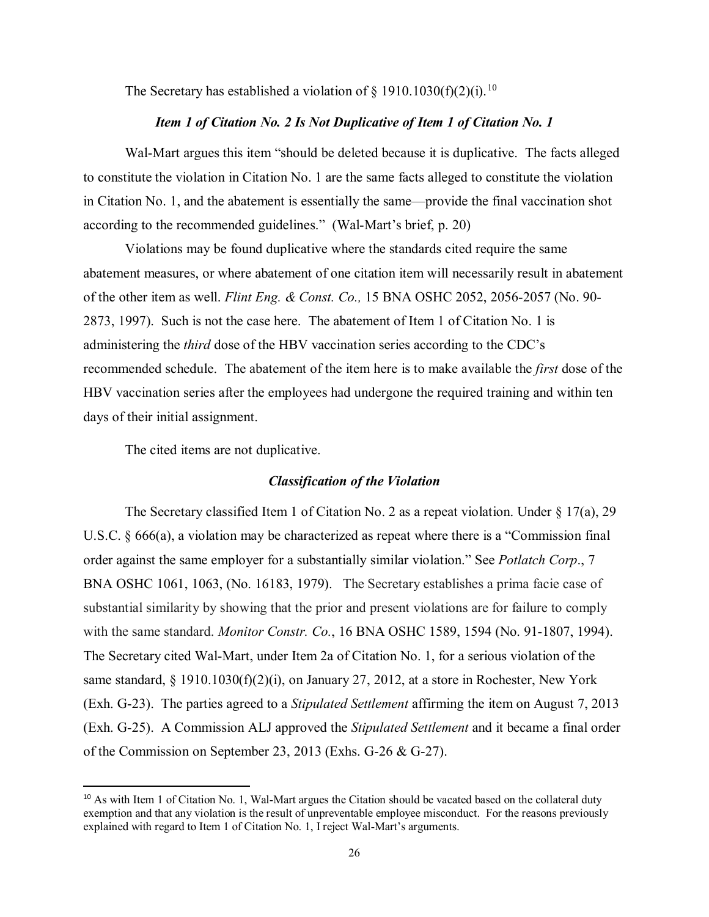The Secretary has established a violation of  $\S$  19[10](#page-25-0).1030(f)(2)(i).<sup>10</sup>

#### *Item 1 of Citation No. 2 Is Not Duplicative of Item 1 of Citation No. 1*

Wal-Mart argues this item "should be deleted because it is duplicative. The facts alleged to constitute the violation in Citation No. 1 are the same facts alleged to constitute the violation in Citation No. 1, and the abatement is essentially the same—provide the final vaccination shot according to the recommended guidelines." (Wal-Mart's brief, p. 20)

Violations may be found duplicative where the standards cited require the same abatement measures, or where abatement of one citation item will necessarily result in abatement of the other item as well. *Flint Eng. & Const. Co.,* 15 BNA OSHC 2052, 2056-2057 (No. 90- 2873, 1997). Such is not the case here. The abatement of Item 1 of Citation No. 1 is administering the *third* dose of the HBV vaccination series according to the CDC's recommended schedule. The abatement of the item here is to make available the *first* dose of the HBV vaccination series after the employees had undergone the required training and within ten days of their initial assignment.

The cited items are not duplicative.

 $\overline{\phantom{a}}$ 

#### *Classification of the Violation*

The Secretary classified Item 1 of Citation No. 2 as a repeat violation. Under  $\S 17(a)$ , 29 U.S.C. § 666(a), a violation may be characterized as repeat where there is a "Commission final order against the same employer for a substantially similar violation." See *Potlatch Corp*., 7 BNA OSHC 1061, 1063, (No. 16183, 1979). The Secretary establishes a prima facie case of substantial similarity by showing that the prior and present violations are for failure to comply with the same standard. *Monitor Constr. Co.*, 16 BNA OSHC 1589, 1594 (No. 91-1807, 1994). The Secretary cited Wal-Mart, under Item 2a of Citation No. 1, for a serious violation of the same standard, § 1910.1030(f)(2)(i), on January 27, 2012, at a store in Rochester, New York (Exh. G-23). The parties agreed to a *Stipulated Settlement* affirming the item on August 7, 2013 (Exh. G-25). A Commission ALJ approved the *Stipulated Settlement* and it became a final order of the Commission on September 23, 2013 (Exhs. G-26 & G-27).

<span id="page-25-0"></span><sup>&</sup>lt;sup>10</sup> As with Item 1 of Citation No. 1, Wal-Mart argues the Citation should be vacated based on the collateral duty exemption and that any violation is the result of unpreventable employee misconduct. For the reasons previously explained with regard to Item 1 of Citation No. 1, I reject Wal-Mart's arguments.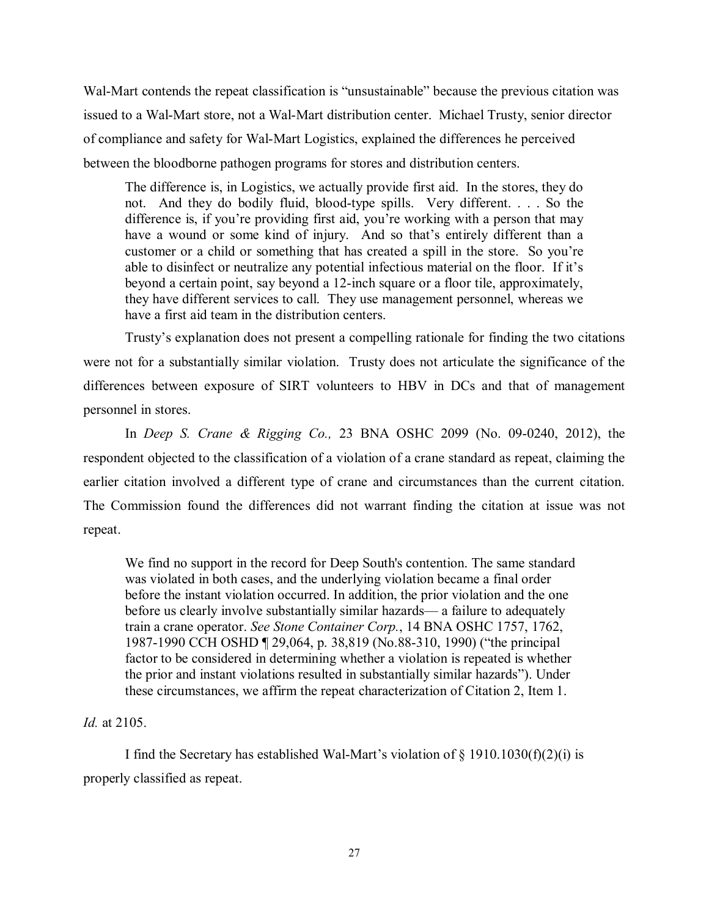Wal-Mart contends the repeat classification is "unsustainable" because the previous citation was issued to a Wal-Mart store, not a Wal-Mart distribution center. Michael Trusty, senior director of compliance and safety for Wal-Mart Logistics, explained the differences he perceived between the bloodborne pathogen programs for stores and distribution centers.

The difference is, in Logistics, we actually provide first aid. In the stores, they do not. And they do bodily fluid, blood-type spills. Very different. . . . So the difference is, if you're providing first aid, you're working with a person that may have a wound or some kind of injury. And so that's entirely different than a customer or a child or something that has created a spill in the store. So you're able to disinfect or neutralize any potential infectious material on the floor. If it's beyond a certain point, say beyond a 12-inch square or a floor tile, approximately, they have different services to call. They use management personnel, whereas we have a first aid team in the distribution centers.

Trusty's explanation does not present a compelling rationale for finding the two citations were not for a substantially similar violation. Trusty does not articulate the significance of the differences between exposure of SIRT volunteers to HBV in DCs and that of management personnel in stores.

In *Deep S. Crane & Rigging Co.,* 23 BNA OSHC 2099 (No. 09-0240, 2012), the respondent objected to the classification of a violation of a crane standard as repeat, claiming the earlier citation involved a different type of crane and circumstances than the current citation. The Commission found the differences did not warrant finding the citation at issue was not repeat.

We find no support in the record for Deep South's contention. The same standard was violated in both cases, and the underlying violation became a final order before the instant violation occurred. In addition, the prior violation and the one before us clearly involve substantially similar hazards— a failure to adequately train a crane operator. *See Stone Container Corp.*, 14 BNA OSHC 1757, 1762, 1987-1990 CCH OSHD ¶ 29,064, p. 38,819 (No.88-310, 1990) ("the principal factor to be considered in determining whether a violation is repeated is whether the prior and instant violations resulted in substantially similar hazards"). Under these circumstances, we affirm the repeat characterization of Citation 2, Item 1.

# *Id.* at 2105.

I find the Secretary has established Wal-Mart's violation of  $\S$  1910.1030(f)(2)(i) is properly classified as repeat.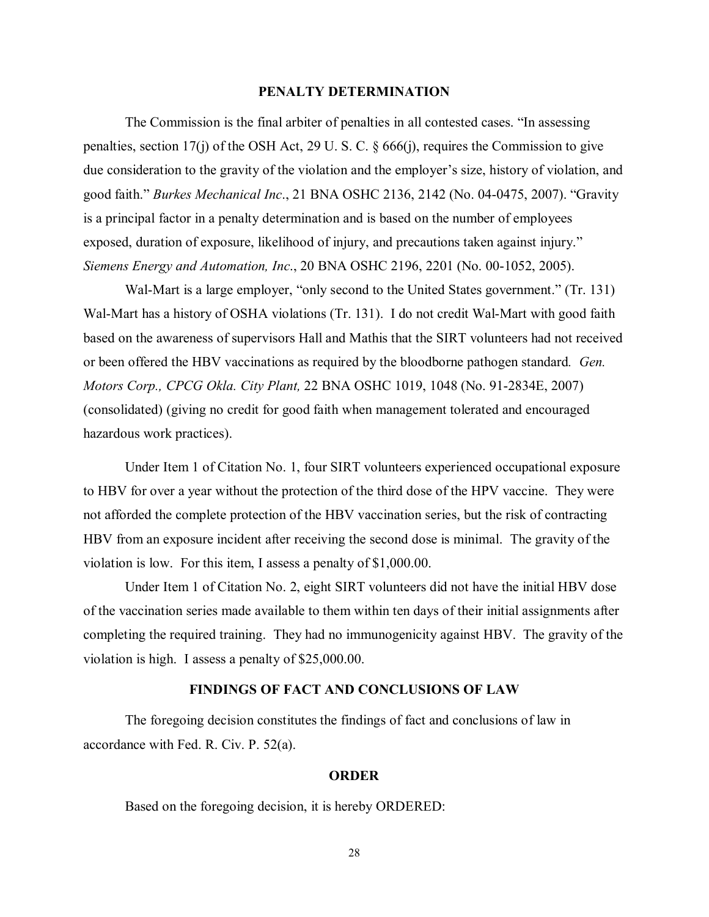### **PENALTY DETERMINATION**

The Commission is the final arbiter of penalties in all contested cases. "In assessing penalties, section 17(j) of the OSH Act, 29 U. S. C. § 666(j), requires the Commission to give due consideration to the gravity of the violation and the employer's size, history of violation, and good faith." *Burkes Mechanical Inc*., 21 BNA OSHC 2136, 2142 (No. 04-0475, 2007). "Gravity is a principal factor in a penalty determination and is based on the number of employees exposed, duration of exposure, likelihood of injury, and precautions taken against injury." *Siemens Energy and Automation, Inc*., 20 BNA OSHC 2196, 2201 (No. 00-1052, 2005).

Wal-Mart is a large employer, "only second to the United States government." (Tr. 131) Wal-Mart has a history of OSHA violations (Tr. 131). I do not credit Wal-Mart with good faith based on the awareness of supervisors Hall and Mathis that the SIRT volunteers had not received or been offered the HBV vaccinations as required by the bloodborne pathogen standard*. Gen. Motors Corp., CPCG Okla. City Plant,* 22 BNA OSHC 1019, 1048 (No. 91-2834E, 2007) (consolidated) (giving no credit for good faith when management tolerated and encouraged hazardous work practices).

Under Item 1 of Citation No. 1, four SIRT volunteers experienced occupational exposure to HBV for over a year without the protection of the third dose of the HPV vaccine. They were not afforded the complete protection of the HBV vaccination series, but the risk of contracting HBV from an exposure incident after receiving the second dose is minimal. The gravity of the violation is low. For this item, I assess a penalty of \$1,000.00.

Under Item 1 of Citation No. 2, eight SIRT volunteers did not have the initial HBV dose of the vaccination series made available to them within ten days of their initial assignments after completing the required training. They had no immunogenicity against HBV. The gravity of the violation is high. I assess a penalty of \$25,000.00.

## **FINDINGS OF FACT AND CONCLUSIONS OF LAW**

The foregoing decision constitutes the findings of fact and conclusions of law in accordance with Fed. R. Civ. P. 52(a).

#### **ORDER**

Based on the foregoing decision, it is hereby ORDERED:

28